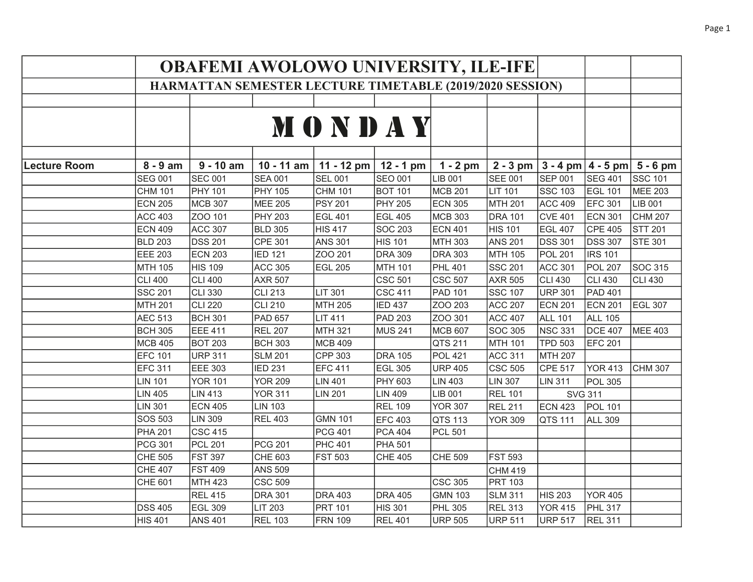|                     |                | <b>OBAFEMI AWOLOWO UNIVERSITY, ILE-IFE</b><br>HARMATTAN SEMESTER LECTURE TIMETABLE (2019/2020 SESSION) |                |                |                |                |                |                        |                |                |  |  |
|---------------------|----------------|--------------------------------------------------------------------------------------------------------|----------------|----------------|----------------|----------------|----------------|------------------------|----------------|----------------|--|--|
|                     |                |                                                                                                        |                |                |                |                |                |                        |                |                |  |  |
|                     |                |                                                                                                        |                |                |                |                |                |                        |                |                |  |  |
|                     |                |                                                                                                        |                |                |                |                |                |                        |                |                |  |  |
|                     |                |                                                                                                        |                | <b>MONDAY</b>  |                |                |                |                        |                |                |  |  |
|                     |                |                                                                                                        |                |                |                |                |                |                        |                |                |  |  |
|                     |                |                                                                                                        |                |                |                |                |                |                        |                |                |  |  |
| <b>Lecture Room</b> | $8 - 9$ am     | $9 - 10$ am                                                                                            | $10 - 11$ am   | 11 - 12 pm     | $12 - 1$ pm    | $1 - 2$ pm     | $2 - 3$ pm     | $3 - 4$ pm $ 4 - 5$ pm |                | $5 - 6$ pm     |  |  |
|                     | <b>SEG 001</b> | <b>SEC 001</b>                                                                                         | <b>SEA 001</b> | <b>SEL 001</b> | <b>SEO 001</b> | LIB 001        | <b>SEE 001</b> | <b>SEP 001</b>         | <b>SEG 401</b> | <b>SSC 101</b> |  |  |
|                     | <b>CHM 101</b> | <b>PHY 101</b>                                                                                         | <b>PHY 105</b> | CHM 101        | <b>BOT 101</b> | MCB 201        | <b>LIT 101</b> | <b>SSC 103</b>         | EGL 101        | <b>MEE 203</b> |  |  |
|                     | <b>ECN 205</b> | MCB 307                                                                                                | <b>MEE 205</b> | <b>PSY 201</b> | <b>PHY 205</b> | <b>ECN 305</b> | MTH 201        | <b>ACC 409</b>         | <b>EFC 301</b> | LIB 001        |  |  |
|                     | <b>ACC 403</b> | ZOO 101                                                                                                | <b>PHY 203</b> | <b>EGL 401</b> | <b>EGL 405</b> | <b>MCB 303</b> | <b>DRA 101</b> | <b>CVE 401</b>         | <b>ECN 301</b> | <b>CHM 207</b> |  |  |
|                     | <b>ECN 409</b> | <b>ACC 307</b>                                                                                         | <b>BLD 305</b> | <b>HIS 417</b> | <b>SOC 203</b> | <b>ECN 401</b> | <b>HIS 101</b> | <b>EGL 407</b>         | <b>CPE 405</b> | <b>STT 201</b> |  |  |
|                     | <b>BLD 203</b> | <b>DSS 201</b>                                                                                         | <b>CPE 301</b> | <b>ANS 301</b> | <b>HIS 101</b> | MTH 303        | <b>ANS 201</b> | <b>DSS 301</b>         | <b>DSS 307</b> | <b>STE 301</b> |  |  |
|                     | EEE 203        | <b>ECN 203</b>                                                                                         | <b>IED 121</b> | ZOO 201        | <b>DRA 309</b> | <b>DRA 303</b> | MTH 105        | <b>POL 201</b>         | <b>IRS 101</b> |                |  |  |
|                     | MTH 105        | <b>HIS 109</b>                                                                                         | <b>ACC 305</b> | <b>EGL 205</b> | <b>MTH 101</b> | <b>PHL 401</b> | <b>SSC 201</b> | <b>ACC 301</b>         | <b>POL 207</b> | SOC 315        |  |  |
|                     | <b>CLI 400</b> | <b>CLI 400</b>                                                                                         | <b>AXR 507</b> |                | <b>CSC 501</b> | <b>CSC 507</b> | <b>AXR 505</b> | <b>CLI 430</b>         | <b>CLI 430</b> | <b>CLI 430</b> |  |  |
|                     | <b>SSC 201</b> | <b>CLI 330</b>                                                                                         | <b>CLI 213</b> | <b>LIT 301</b> | <b>CSC 411</b> | PAD 101        | <b>SSC 107</b> | <b>URP 301</b>         | <b>PAD 401</b> |                |  |  |
|                     | MTH 201        | <b>CLI 220</b>                                                                                         | <b>CLI 210</b> | MTH 205        | <b>IED 437</b> | ZOO 203        | <b>ACC 207</b> | <b>ECN 201</b>         | <b>ECN 201</b> | <b>EGL 307</b> |  |  |
|                     | <b>AEC 513</b> | <b>BCH 301</b>                                                                                         | <b>PAD 657</b> | <b>LIT 411</b> | <b>PAD 203</b> | ZOO 301        | <b>ACC 407</b> | <b>ALL 101</b>         | <b>ALL 105</b> |                |  |  |
|                     | <b>BCH 305</b> | EEE 411                                                                                                | <b>REL 207</b> | <b>MTH 321</b> | <b>MUS 241</b> | MCB 607        | <b>SOC 305</b> | <b>NSC 331</b>         | <b>DCE 407</b> | <b>MEE 403</b> |  |  |
|                     | <b>MCB 405</b> | <b>BOT 203</b>                                                                                         | <b>BCH 303</b> | <b>MCB 409</b> |                | QTS 211        | <b>MTH 101</b> | <b>TPD 503</b>         | <b>EFC 201</b> |                |  |  |
|                     | EFC 101        | <b>URP 311</b>                                                                                         | <b>SLM 201</b> | CPP 303        | <b>DRA 105</b> | <b>POL 421</b> | <b>ACC 311</b> | <b>MTH 207</b>         |                |                |  |  |
|                     | <b>EFC 311</b> | EEE 303                                                                                                | <b>IED 231</b> | <b>EFC 411</b> | <b>EGL 305</b> | <b>URP 405</b> | <b>CSC 505</b> | <b>CPE 517</b>         | <b>YOR 413</b> | CHM 307        |  |  |
|                     | <b>LIN 101</b> | <b>YOR 101</b>                                                                                         | <b>YOR 209</b> | <b>LIN 401</b> | PHY 603        | <b>LIN 403</b> | <b>LIN 307</b> | <b>LIN 311</b>         | <b>POL 305</b> |                |  |  |
|                     | <b>LIN 405</b> | <b>LIN 413</b>                                                                                         | <b>YOR 311</b> | <b>LIN 201</b> | <b>LIN 409</b> | LIB 001        | <b>REL 101</b> | <b>SVG 311</b>         |                |                |  |  |
|                     | <b>LIN 301</b> | <b>ECN 405</b>                                                                                         | <b>LIN 103</b> |                | <b>REL 109</b> | <b>YOR 307</b> | <b>REL 211</b> | <b>ECN 423</b>         | <b>POL 101</b> |                |  |  |
|                     | <b>SOS 503</b> | <b>LIN 309</b>                                                                                         | <b>REL 403</b> | <b>GMN 101</b> | <b>EFC 403</b> | QTS 113        | <b>YOR 309</b> | QTS 111                | <b>ALL 309</b> |                |  |  |
|                     | <b>PHA 201</b> | <b>CSC 415</b>                                                                                         |                | <b>PCG 401</b> | <b>PCA 404</b> | PCL 501        |                |                        |                |                |  |  |
|                     | PCG 301        | PCL 201                                                                                                | <b>PCG 201</b> | <b>PHC 401</b> | <b>PHA 501</b> |                |                |                        |                |                |  |  |
|                     | CHE 505        | <b>FST 397</b>                                                                                         | CHE 603        | <b>FST 503</b> | <b>CHE 405</b> | CHE 509        | <b>FST 593</b> |                        |                |                |  |  |
|                     | <b>CHE 407</b> | <b>FST 409</b>                                                                                         | <b>ANS 509</b> |                |                |                | <b>CHM 419</b> |                        |                |                |  |  |
|                     | CHE 601        | MTH 423                                                                                                | <b>CSC 509</b> |                |                | <b>CSC 305</b> | <b>PRT 103</b> |                        |                |                |  |  |
|                     |                | <b>REL 415</b>                                                                                         | <b>DRA 301</b> | <b>DRA 403</b> | <b>DRA 405</b> | <b>GMN 103</b> | <b>SLM 311</b> | <b>HIS 203</b>         | <b>YOR 405</b> |                |  |  |
|                     | <b>DSS 405</b> | <b>EGL 309</b>                                                                                         | <b>LIT 203</b> | <b>PRT 101</b> | <b>HIS 301</b> | <b>PHL 305</b> | <b>REL 313</b> | <b>YOR 415</b>         | <b>PHL 317</b> |                |  |  |
|                     | <b>HIS 401</b> | <b>ANS 401</b>                                                                                         | <b>REL 103</b> | <b>FRN 109</b> | <b>REL 401</b> | <b>URP 505</b> | <b>URP 511</b> | <b>URP 517</b>         | <b>REL 311</b> |                |  |  |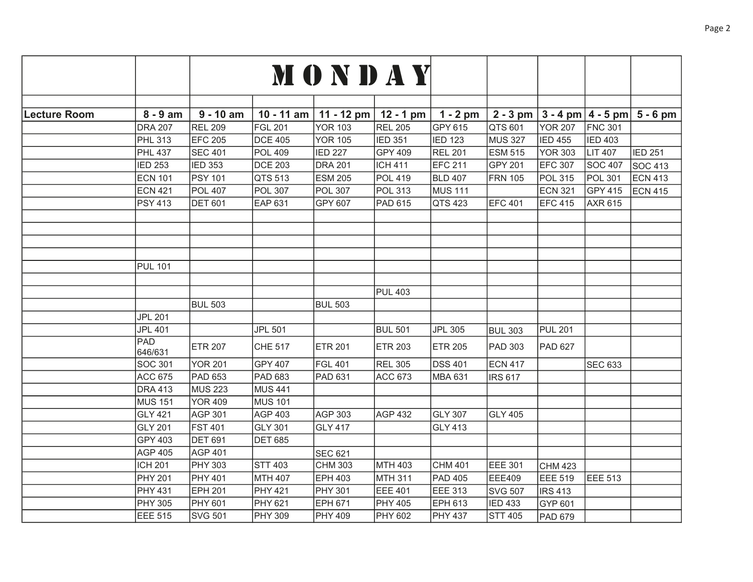|                     |                |                |                | MONDAY         |                |                |                |                |                        |                |
|---------------------|----------------|----------------|----------------|----------------|----------------|----------------|----------------|----------------|------------------------|----------------|
|                     |                |                |                |                |                |                |                |                |                        |                |
|                     |                |                |                |                |                |                |                |                |                        |                |
| <b>Lecture Room</b> | $8 - 9$ am     | $9 - 10$ am    | $10 - 11$ am   | 11 - 12 pm     | $12 - 1$ pm    | $1 - 2$ pm     | $2 - 3$ pm     |                | $3 - 4$ pm $ 4 - 5$ pm | $5 - 6$ pm     |
|                     | <b>DRA 207</b> | <b>REL 209</b> | <b>FGL 201</b> | <b>YOR 103</b> | <b>REL 205</b> | GPY 615        | QTS 601        | <b>YOR 207</b> | <b>FNC 301</b>         |                |
|                     | <b>PHL 313</b> | <b>EFC 205</b> | <b>DCE 405</b> | <b>YOR 105</b> | <b>IED 351</b> | <b>IED 123</b> | <b>MUS 327</b> | <b>IED 455</b> | <b>IED 403</b>         |                |
|                     | <b>PHL 437</b> | <b>SEC 401</b> | <b>POL 409</b> | <b>IED 227</b> | <b>GPY 409</b> | <b>REL 201</b> | <b>ESM 515</b> | YOR 303        | <b>LIT 407</b>         | <b>IED 251</b> |
|                     | <b>IED 253</b> | <b>IED 353</b> | <b>DCE 203</b> | <b>DRA 201</b> | <b>ICH 411</b> | <b>EFC 211</b> | GPY 201        | <b>EFC 307</b> | <b>SOC 407</b>         | SOC 413        |
|                     | <b>ECN 101</b> | <b>PSY 101</b> | QTS 513        | <b>ESM 205</b> | <b>POL 419</b> | <b>BLD 407</b> | <b>FRN</b> 105 | <b>POL 315</b> | <b>POL 301</b>         | <b>ECN 413</b> |
|                     | ECN 421        | <b>POL 407</b> | <b>POL 307</b> | <b>POL 307</b> | <b>POL 313</b> | <b>MUS 111</b> |                | <b>ECN 321</b> | <b>GPY 415</b>         | <b>ECN 415</b> |
|                     | PSY 413        | <b>DET 601</b> | EAP 631        | GPY 607        | <b>PAD 615</b> | QTS 423        | <b>EFC 401</b> | <b>EFC 415</b> | <b>AXR 615</b>         |                |
|                     |                |                |                |                |                |                |                |                |                        |                |
|                     |                |                |                |                |                |                |                |                |                        |                |
|                     |                |                |                |                |                |                |                |                |                        |                |
|                     |                |                |                |                |                |                |                |                |                        |                |
|                     | <b>PUL 101</b> |                |                |                |                |                |                |                |                        |                |
|                     |                |                |                |                |                |                |                |                |                        |                |
|                     |                |                |                |                | <b>PUL 403</b> |                |                |                |                        |                |
|                     |                | <b>BUL 503</b> |                | <b>BUL 503</b> |                |                |                |                |                        |                |
|                     | <b>JPL 201</b> |                |                |                |                |                |                |                |                        |                |
|                     | <b>JPL 401</b> |                | <b>JPL 501</b> |                | <b>BUL 501</b> | <b>JPL 305</b> | <b>BUL 303</b> | <b>PUL 201</b> |                        |                |
|                     | PAD<br>646/631 | <b>ETR 207</b> | <b>CHE 517</b> | <b>ETR 201</b> | <b>ETR 203</b> | <b>ETR 205</b> | PAD 303        | PAD 627        |                        |                |
|                     | SOC 301        | <b>YOR 201</b> | GPY 407        | FGL 401        | <b>REL 305</b> | <b>DSS 401</b> | <b>ECN 417</b> |                | <b>SEC 633</b>         |                |
|                     | <b>ACC 675</b> | <b>PAD 653</b> | <b>PAD 683</b> | PAD 631        | <b>ACC 673</b> | <b>MBA 631</b> | <b>IRS 617</b> |                |                        |                |
|                     | <b>DRA 413</b> | <b>MUS 223</b> | <b>MUS 441</b> |                |                |                |                |                |                        |                |
|                     | <b>MUS 151</b> | <b>YOR 409</b> | <b>MUS 101</b> |                |                |                |                |                |                        |                |
|                     | GLY 421        | <b>AGP 301</b> | <b>AGP 403</b> | AGP 303        | AGP 432        | <b>GLY 307</b> | <b>GLY 405</b> |                |                        |                |
|                     | <b>GLY 201</b> | <b>FST 401</b> | <b>GLY 301</b> | <b>GLY 417</b> |                | <b>GLY 413</b> |                |                |                        |                |
|                     | GPY 403        | <b>DET 691</b> | <b>DET 685</b> |                |                |                |                |                |                        |                |
|                     | <b>AGP 405</b> | <b>AGP 401</b> |                | <b>SEC 621</b> |                |                |                |                |                        |                |
|                     | <b>ICH 201</b> | <b>PHY 303</b> | <b>STT 403</b> | <b>CHM 303</b> | MTH 403        | <b>CHM 401</b> | EEE 301        | CHM 423        |                        |                |
|                     | <b>PHY 201</b> | <b>PHY 401</b> | <b>MTH 407</b> | EPH 403        | MTH 311        | <b>PAD 405</b> | EEE409         | EEE 519        | <b>EEE 513</b>         |                |
|                     | <b>PHY 431</b> | <b>EPH 201</b> | <b>PHY 421</b> | <b>PHY 301</b> | <b>EEE 401</b> | <b>EEE 313</b> | <b>SVG 507</b> | <b>IRS 413</b> |                        |                |
|                     | <b>PHY 305</b> | <b>PHY 601</b> | PHY 621        | EPH 671        | <b>PHY 405</b> | <b>EPH 613</b> | <b>IED 433</b> | GYP 601        |                        |                |
|                     | EEE 515        | <b>SVG 501</b> | PHY 309        | <b>PHY 409</b> | <b>PHY 602</b> | <b>PHY 437</b> | <b>STT 405</b> | PAD 679        |                        |                |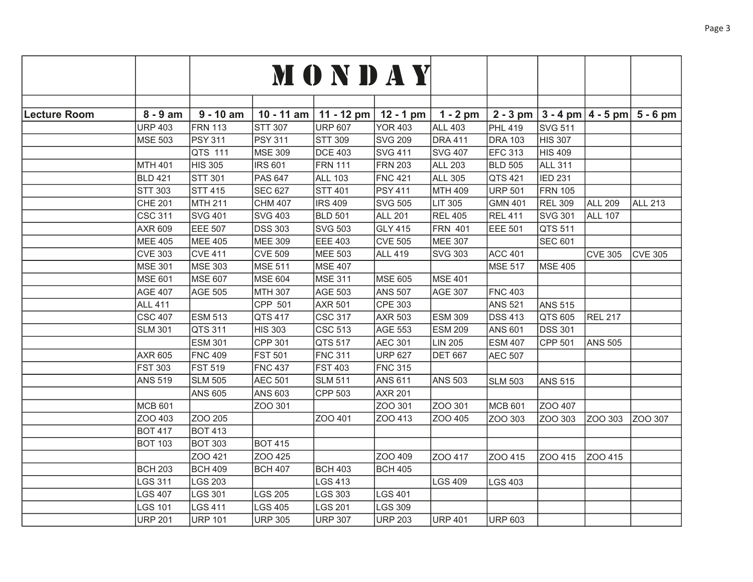|                     |                |                |                | MONDAY         |                |                |                |                |                |                                              |
|---------------------|----------------|----------------|----------------|----------------|----------------|----------------|----------------|----------------|----------------|----------------------------------------------|
|                     |                |                |                |                |                |                |                |                |                |                                              |
| <b>Lecture Room</b> | $8 - 9$ am     | $9 - 10$ am    | $10 - 11$ am   | 11 - 12 pm     | $12 - 1$ pm    | $1 - 2$ pm     |                |                |                | 2 - 3 pm $ 3 - 4$ pm $ 4 - 5$ pm $ 5 - 6$ pm |
|                     | <b>URP 403</b> | <b>FRN 113</b> | <b>STT 307</b> | <b>URP 607</b> | <b>YOR 403</b> | <b>ALL 403</b> | <b>PHL 419</b> | SVG 511        |                |                                              |
|                     | <b>MSE 503</b> | <b>PSY 311</b> | <b>PSY 311</b> | <b>STT 309</b> | <b>SVG 209</b> | <b>DRA 411</b> | <b>DRA 103</b> | <b>HIS 307</b> |                |                                              |
|                     |                | QTS 111        | <b>MSE 309</b> | <b>DCE 403</b> | <b>SVG 411</b> | <b>SVG 407</b> | <b>EFC 313</b> | <b>HIS 409</b> |                |                                              |
|                     | <b>MTH 401</b> | <b>HIS 305</b> | <b>IRS 601</b> | <b>FRN 111</b> | <b>FRN 203</b> | <b>ALL 203</b> | <b>BLD 505</b> | <b>ALL 311</b> |                |                                              |
|                     | <b>BLD 421</b> | <b>STT 301</b> | <b>PAS 647</b> | <b>ALL 103</b> | <b>FNC 421</b> | <b>ALL 305</b> | QTS 421        | <b>IED 231</b> |                |                                              |
|                     | <b>STT 303</b> | <b>STT 415</b> | <b>SEC 627</b> | <b>STT 401</b> | <b>PSY 411</b> | MTH 409        | <b>URP 501</b> | <b>FRN</b> 105 |                |                                              |
|                     | <b>CHE 201</b> | MTH 211        | <b>CHM 407</b> | <b>IRS 409</b> | <b>SVG 505</b> | LIT 305        | <b>GMN 401</b> | <b>REL 309</b> | <b>ALL 209</b> | <b>ALL 213</b>                               |
|                     | <b>CSC 311</b> | <b>SVG 401</b> | <b>SVG 403</b> | <b>BLD 501</b> | <b>ALL 201</b> | <b>REL 405</b> | <b>REL 411</b> | SVG 301        | <b>ALL 107</b> |                                              |
|                     | AXR 609        | EEE 507        | <b>DSS 303</b> | <b>SVG 503</b> | <b>GLY 415</b> | <b>FRN 401</b> | EEE 501        | QTS 511        |                |                                              |
|                     | <b>MEE 405</b> | MEE 405        | <b>MEE 309</b> | EEE 403        | <b>CVE 505</b> | <b>MEE 307</b> |                | SEC 601        |                |                                              |
|                     | <b>CVE 303</b> | <b>CVE 411</b> | <b>CVE 509</b> | MEE 503        | <b>ALL 419</b> | <b>SVG 303</b> | <b>ACC 401</b> |                | <b>CVE 305</b> | <b>CVE 305</b>                               |
|                     | <b>MSE 301</b> | MSE 303        | MSE 511        | <b>MSE 407</b> |                |                | <b>MSE 517</b> | <b>MSE 405</b> |                |                                              |
|                     | <b>MSE 601</b> | <b>MSE 607</b> | MSE 604        | <b>MSE 311</b> | <b>MSE 605</b> | <b>MSE 401</b> |                |                |                |                                              |
|                     | <b>AGE 407</b> | AGE 505        | MTH 307        | <b>AGE 503</b> | <b>ANS 507</b> | <b>AGE 307</b> | <b>FNC 403</b> |                |                |                                              |
|                     | <b>ALL 411</b> |                | CPP 501        | <b>AXR 501</b> | <b>CPE 303</b> |                | <b>ANS 521</b> | <b>ANS 515</b> |                |                                              |
|                     | <b>CSC 407</b> | <b>ESM 513</b> | QTS 417        | CSC 317        | <b>AXR 503</b> | <b>ESM 309</b> | <b>DSS 413</b> | QTS 605        | <b>REL 217</b> |                                              |
|                     | <b>SLM 301</b> | QTS 311        | <b>HIS 303</b> | CSC 513        | <b>AGE 553</b> | <b>ESM 209</b> | <b>ANS 601</b> | <b>DSS 301</b> |                |                                              |
|                     |                | <b>ESM 301</b> | CPP 301        | QTS 517        | <b>AEC 301</b> | <b>LIN 205</b> | <b>ESM 407</b> | CPP 501        | <b>ANS 505</b> |                                              |
|                     | AXR 605        | <b>FNC 409</b> | <b>FST 501</b> | <b>FNC 311</b> | <b>URP 627</b> | <b>DET 667</b> | <b>AEC 507</b> |                |                |                                              |
|                     | <b>FST 303</b> | <b>FST 519</b> | <b>FNC 437</b> | <b>FST 403</b> | <b>FNC 315</b> |                |                |                |                |                                              |
|                     | <b>ANS 519</b> | <b>SLM 505</b> | <b>AEC 501</b> | <b>SLM 511</b> | <b>ANS 611</b> | <b>ANS 503</b> | <b>SLM 503</b> | <b>ANS 515</b> |                |                                              |
|                     |                | <b>ANS 605</b> | <b>ANS 603</b> | CPP 503        | <b>AXR 201</b> |                |                |                |                |                                              |
|                     | <b>MCB 601</b> |                | ZOO 301        |                | ZOO 301        | ZOO 301        | MCB 601        | ZOO 407        |                |                                              |
|                     | ZOO 403        | ZOO 205        |                | ZOO 401        | ZOO 413        | ZOO 405        | ZOO 303        | ZOO 303        | ZOO 303        | ZOO 307                                      |
|                     | <b>BOT 417</b> | <b>BOT 413</b> |                |                |                |                |                |                |                |                                              |
|                     | <b>BOT 103</b> | <b>BOT 303</b> | <b>BOT 415</b> |                |                |                |                |                |                |                                              |
|                     |                | ZOO 421        | ZOO 425        |                | ZOO 409        | ZOO 417        | ZOO 415        | ZOO 415        | ZOO 415        |                                              |
|                     | <b>BCH 203</b> | <b>BCH 409</b> | <b>BCH 407</b> | <b>BCH 403</b> | <b>BCH 405</b> |                |                |                |                |                                              |
|                     | <b>LGS 311</b> | <b>LGS 203</b> |                | LGS 413        |                | <b>LGS 409</b> | <b>LGS 403</b> |                |                |                                              |
|                     | <b>LGS 407</b> | <b>LGS 301</b> | <b>LGS 205</b> | LGS 303        | <b>LGS 401</b> |                |                |                |                |                                              |
|                     | <b>LGS 101</b> | <b>LGS 411</b> | <b>LGS 405</b> | LGS 201        | <b>LGS 309</b> |                |                |                |                |                                              |
|                     | <b>URP 201</b> | <b>URP 101</b> | <b>URP 305</b> | <b>URP 307</b> | <b>URP 203</b> | <b>URP 401</b> | URP 603        |                |                |                                              |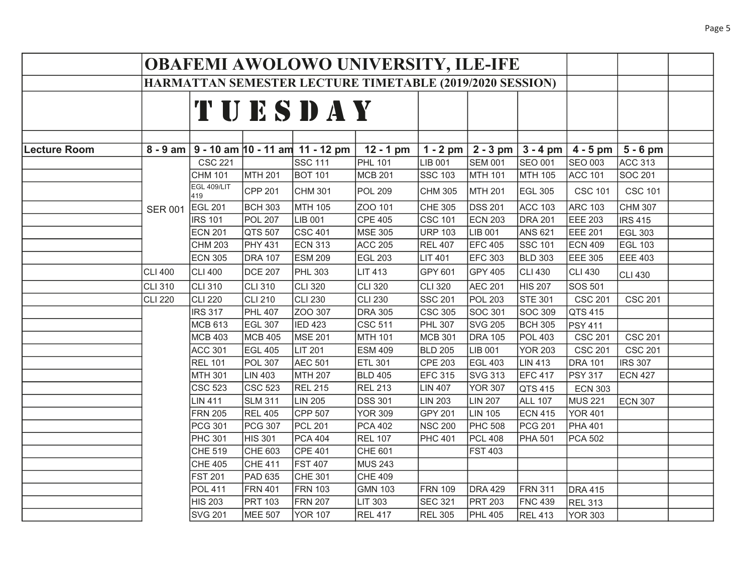|                     |                |                    |                | <b>OBAFEMI AWOLOWO UNIVERSITY, ILE-IFE</b> |                                                          |                    |                |                |                |                |  |
|---------------------|----------------|--------------------|----------------|--------------------------------------------|----------------------------------------------------------|--------------------|----------------|----------------|----------------|----------------|--|
|                     |                |                    |                |                                            | HARMATTAN SEMESTER LECTURE TIMETABLE (2019/2020 SESSION) |                    |                |                |                |                |  |
|                     |                |                    |                | TUESDAY                                    |                                                          |                    |                |                |                |                |  |
| <b>Lecture Room</b> | $8 - 9$ am     |                    |                | $9 - 10$ am $ 10 - 11$ am $ 11 - 12$ pm    | $12 - 1$ pm                                              | $1 - 2$ pm         | $2 - 3$ pm     | $3 - 4$ pm     | $4 - 5$ pm     | $5 - 6$ pm     |  |
|                     |                | <b>CSC 221</b>     |                | <b>SSC 111</b>                             | <b>PHL 101</b>                                           | LIB 001            | <b>SEM 001</b> | SEO 001        | SEO 003        | ACC 313        |  |
|                     |                | <b>CHM 101</b>     | MTH 201        | <b>BOT 101</b>                             | <b>MCB 201</b>                                           | SSC 103            | <b>MTH 101</b> | MTH 105        | <b>ACC 101</b> | <b>SOC 201</b> |  |
|                     |                | EGL 409/LIT<br>419 | CPP 201        | CHM 301                                    | <b>POL 209</b>                                           | CHM 305            | <b>MTH 201</b> | <b>EGL 305</b> | <b>CSC 101</b> | <b>CSC 101</b> |  |
|                     | <b>SER 001</b> | <b>EGL 201</b>     | <b>BCH 303</b> | MTH 105                                    | ZOO 101                                                  | CHE 305            | <b>DSS 201</b> | <b>ACC 103</b> | <b>ARC 103</b> | <b>CHM 307</b> |  |
|                     |                | <b>IRS 101</b>     | <b>POL 207</b> | LIB 001                                    | <b>CPE 405</b>                                           | CSC 101            | <b>ECN 203</b> | <b>DRA 201</b> | EEE 203        | <b>IRS 415</b> |  |
|                     |                | <b>ECN 201</b>     | QTS 507        | CSC 401                                    | <b>MSE 305</b>                                           | <b>URP 103</b>     | LIB 001        | <b>ANS 621</b> | EEE 201        | EGL 303        |  |
|                     |                | <b>CHM 203</b>     | <b>PHY 431</b> | ECN 313                                    | <b>ACC 205</b>                                           | <b>REL 407</b>     | <b>EFC 405</b> | <b>SSC 101</b> | <b>ECN 409</b> | EGL 103        |  |
|                     |                | <b>ECN 305</b>     | <b>DRA 107</b> | <b>ESM 209</b>                             | <b>EGL 203</b>                                           | <b>LIT 401</b>     | <b>EFC 303</b> | <b>BLD 303</b> | EEE 305        | EEE 403        |  |
|                     | <b>CLI 400</b> | <b>CLI 400</b>     | <b>DCE 207</b> | <b>PHL 303</b>                             | <b>LIT 413</b>                                           | GPY 601            | <b>GPY 405</b> | <b>CLI 430</b> | CLI 430        | CLI 430        |  |
|                     | <b>CLI 310</b> | CLI 310            | CLI 310        | CLI 320                                    | <b>CLI 320</b>                                           | CLI 320            | <b>AEC 201</b> | <b>HIS 207</b> | SOS 501        |                |  |
|                     | <b>CLI 220</b> | CLI 220            | <b>CLI 210</b> | CLI 230                                    | <b>CLI 230</b>                                           | SSC 201            | <b>POL 203</b> | <b>STE 301</b> | <b>CSC 201</b> | <b>CSC 201</b> |  |
|                     |                | <b>IRS 317</b>     | <b>PHL 407</b> | ZOO 307                                    | <b>DRA 305</b>                                           | CSC <sub>305</sub> | <b>SOC 301</b> | <b>SOC 309</b> | QTS 415        |                |  |
|                     |                | <b>MCB 613</b>     | <b>EGL 307</b> | <b>IED 423</b>                             | <b>CSC 511</b>                                           | <b>PHL 307</b>     | <b>SVG 205</b> | <b>BCH 305</b> | <b>PSY 411</b> |                |  |
|                     |                | <b>MCB 403</b>     | MCB 405        | MSE 201                                    | MTH 101                                                  | MCB 301            | <b>DRA 105</b> | <b>POL 403</b> | <b>CSC 201</b> | <b>CSC 201</b> |  |
|                     |                | <b>ACC 301</b>     | <b>EGL 405</b> | <b>LIT 201</b>                             | <b>ESM 409</b>                                           | <b>BLD 205</b>     | LIB 001        | <b>YOR 203</b> | <b>CSC 201</b> | <b>CSC 201</b> |  |
|                     |                | <b>REL 101</b>     | <b>POL 307</b> | <b>AEC 501</b>                             | <b>ETL 301</b>                                           | CPE 203            | <b>EGL 403</b> | <b>LIN 413</b> | <b>DRA 101</b> | <b>IRS 307</b> |  |
|                     |                | <b>MTH 301</b>     | <b>LIN 403</b> | MTH 207                                    | <b>BLD 405</b>                                           | <b>EFC 315</b>     | <b>SVG 313</b> | <b>EFC 417</b> | <b>PSY 317</b> | <b>ECN 427</b> |  |
|                     |                | <b>CSC 523</b>     | <b>CSC 523</b> | <b>REL 215</b>                             | <b>REL 213</b>                                           | <b>LIN 407</b>     | <b>YOR 307</b> | QTS 415        | <b>ECN 303</b> |                |  |
|                     |                | <b>LIN 411</b>     | <b>SLM 311</b> | LIN 205                                    | <b>DSS 301</b>                                           | LIN 203            | <b>LIN 207</b> | <b>ALL 107</b> | <b>MUS 221</b> | <b>ECN 307</b> |  |
|                     |                | <b>FRN 205</b>     | <b>REL 405</b> | CPP 507                                    | <b>YOR 309</b>                                           | GPY 201            | <b>LIN 105</b> | <b>ECN 415</b> | YOR 401        |                |  |
|                     |                | <b>PCG 301</b>     | <b>PCG 307</b> | <b>PCL 201</b>                             | <b>PCA 402</b>                                           | <b>NSC 200</b>     | <b>PHC 508</b> | PCG 201        | <b>PHA 401</b> |                |  |
|                     |                | <b>PHC 301</b>     | <b>HIS 301</b> | PCA 404                                    | <b>REL 107</b>                                           | <b>PHC 401</b>     | <b>PCL 408</b> | <b>PHA 501</b> | PCA 502        |                |  |
|                     |                | CHE 519            | <b>CHE 603</b> | CPE 401                                    | CHE 601                                                  |                    | <b>FST 403</b> |                |                |                |  |
|                     |                | CHE 405            | <b>CHE 411</b> | <b>FST 407</b>                             | <b>MUS 243</b>                                           |                    |                |                |                |                |  |
|                     |                | <b>FST 201</b>     | <b>PAD 635</b> | CHE 301                                    | <b>CHE 409</b>                                           |                    |                |                |                |                |  |
|                     |                | <b>POL 411</b>     | <b>FRN 401</b> | <b>FRN 103</b>                             | <b>GMN 103</b>                                           | <b>FRN 109</b>     | <b>DRA 429</b> | <b>FRN 311</b> | <b>DRA 415</b> |                |  |
|                     |                | <b>HIS 203</b>     | <b>PRT 103</b> | <b>FRN 207</b>                             | <b>LIT 303</b>                                           | SEC 321            | <b>PRT 203</b> | <b>FNC 439</b> | <b>REL 313</b> |                |  |
|                     |                | <b>SVG 201</b>     | <b>MEE 507</b> | <b>YOR 107</b>                             | <b>REL 417</b>                                           | <b>REL 305</b>     | <b>PHL 405</b> | <b>REL 413</b> | YOR 303        |                |  |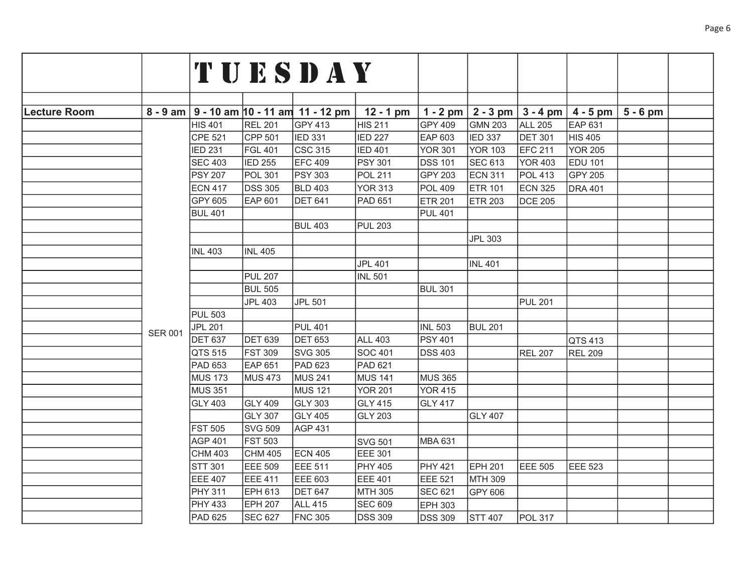|                     |                |                |                | TUESDAY                               |                |                |                                  |                |                |            |  |
|---------------------|----------------|----------------|----------------|---------------------------------------|----------------|----------------|----------------------------------|----------------|----------------|------------|--|
|                     |                |                |                |                                       |                |                |                                  |                |                |            |  |
|                     |                |                |                |                                       |                |                |                                  |                |                |            |  |
| <b>Lecture Room</b> | $8 - 9$ am     |                |                | $9 - 10$ am $10 - 11$ am $11 - 12$ pm | $12 - 1$ pm    |                | 1 - 2 pm $ 2 - 3$ pm $ 3 - 4$ pm |                | $4 - 5$ pm     | $5 - 6$ pm |  |
|                     |                | HIS 401        | <b>REL 201</b> | GPY 413                               | <b>HIS 211</b> | GPY 409        | <b>GMN 203</b>                   | <b>ALL 205</b> | <b>EAP 631</b> |            |  |
|                     |                | <b>CPE 521</b> | CPP 501        | <b>IED 331</b>                        | <b>IED 227</b> | EAP 603        | <b>IED 337</b>                   | <b>DET 301</b> | <b>HIS 405</b> |            |  |
|                     |                | <b>IED 231</b> | <b>FGL 401</b> | <b>CSC 315</b>                        | <b>IED 401</b> | <b>YOR 301</b> | <b>YOR 103</b>                   | EFC 211        | <b>YOR 205</b> |            |  |
|                     |                | <b>SEC 403</b> | <b>IED 255</b> | <b>EFC 409</b>                        | <b>PSY 301</b> | <b>DSS 101</b> | <b>SEC 613</b>                   | <b>YOR 403</b> | <b>EDU 101</b> |            |  |
|                     |                | <b>PSY 207</b> | <b>POL 301</b> | <b>PSY 303</b>                        | <b>POL 211</b> | <b>GPY 203</b> | <b>ECN 311</b>                   | <b>POL 413</b> | <b>GPY 205</b> |            |  |
|                     |                | <b>ECN 417</b> | <b>DSS 305</b> | <b>BLD 403</b>                        | <b>YOR 313</b> | <b>POL 409</b> | <b>ETR 101</b>                   | <b>ECN 325</b> | <b>DRA 401</b> |            |  |
|                     |                | GPY 605        | <b>EAP 601</b> | <b>DET 641</b>                        | <b>PAD 651</b> | <b>ETR 201</b> | <b>ETR 203</b>                   | <b>DCE 205</b> |                |            |  |
|                     |                | <b>BUL 401</b> |                |                                       |                | <b>PUL 401</b> |                                  |                |                |            |  |
|                     |                |                |                | <b>BUL 403</b>                        | <b>PUL 203</b> |                |                                  |                |                |            |  |
|                     |                |                |                |                                       |                |                | <b>JPL 303</b>                   |                |                |            |  |
|                     |                | <b>INL 403</b> | <b>INL 405</b> |                                       |                |                |                                  |                |                |            |  |
|                     |                |                |                |                                       | <b>JPL 401</b> |                | <b>INL 401</b>                   |                |                |            |  |
|                     |                |                | <b>PUL 207</b> |                                       | <b>INL 501</b> |                |                                  |                |                |            |  |
|                     |                |                | <b>BUL 505</b> |                                       |                | <b>BUL 301</b> |                                  |                |                |            |  |
|                     |                |                | <b>JPL 403</b> | <b>JPL 501</b>                        |                |                |                                  | <b>PUL 201</b> |                |            |  |
|                     |                | <b>PUL 503</b> |                |                                       |                |                |                                  |                |                |            |  |
|                     | <b>SER 001</b> | <b>JPL 201</b> |                | <b>PUL 401</b>                        |                | <b>INL 503</b> | <b>BUL 201</b>                   |                |                |            |  |
|                     |                | <b>DET 637</b> | <b>DET 639</b> | <b>DET 653</b>                        | ALL 403        | <b>PSY 401</b> |                                  |                | QTS 413        |            |  |
|                     |                | QTS 515        | <b>FST 309</b> | <b>SVG 305</b>                        | <b>SOC 401</b> | <b>DSS 403</b> |                                  | <b>REL 207</b> | <b>REL 209</b> |            |  |
|                     |                | PAD 653        | <b>EAP 651</b> | PAD 623                               | PAD 621        |                |                                  |                |                |            |  |
|                     |                | <b>MUS 173</b> | <b>MUS 473</b> | <b>MUS 241</b>                        | <b>MUS 141</b> | <b>MUS 365</b> |                                  |                |                |            |  |
|                     |                | <b>MUS 351</b> |                | <b>MUS 121</b>                        | <b>YOR 201</b> | <b>YOR 415</b> |                                  |                |                |            |  |
|                     |                | <b>GLY 403</b> | <b>GLY 409</b> | <b>GLY 303</b>                        | <b>GLY 415</b> | <b>GLY 417</b> |                                  |                |                |            |  |
|                     |                |                | <b>GLY 307</b> | <b>GLY 405</b>                        | <b>GLY 203</b> |                | <b>GLY 407</b>                   |                |                |            |  |
|                     |                | <b>FST 505</b> | <b>SVG 509</b> | <b>AGP 431</b>                        |                |                |                                  |                |                |            |  |
|                     |                | <b>AGP 401</b> | <b>FST 503</b> |                                       | <b>SVG 501</b> | MBA 631        |                                  |                |                |            |  |
|                     |                | <b>CHM 403</b> | <b>CHM 405</b> | <b>ECN 405</b>                        | <b>EEE 301</b> |                |                                  |                |                |            |  |
|                     |                | <b>STT 301</b> | <b>EEE 509</b> | <b>EEE 511</b>                        | <b>PHY 405</b> | <b>PHY 421</b> | EPH 201                          | EEE 505        | <b>EEE 523</b> |            |  |
|                     |                | EEE 407        | <b>EEE 411</b> | <b>EEE 603</b>                        | <b>EEE 401</b> | <b>EEE 521</b> | MTH 309                          |                |                |            |  |
|                     |                | PHY 311        | <b>EPH 613</b> | <b>DET 647</b>                        | MTH 305        | <b>SEC 621</b> | GPY 606                          |                |                |            |  |
|                     |                | <b>PHY 433</b> | <b>EPH 207</b> | <b>ALL 415</b>                        | <b>SEC 609</b> | <b>EPH 303</b> |                                  |                |                |            |  |
|                     |                | PAD 625        | <b>SEC 627</b> | <b>FNC 305</b>                        | <b>DSS 309</b> | <b>DSS 309</b> | <b>STT 407</b>                   | <b>POL 317</b> |                |            |  |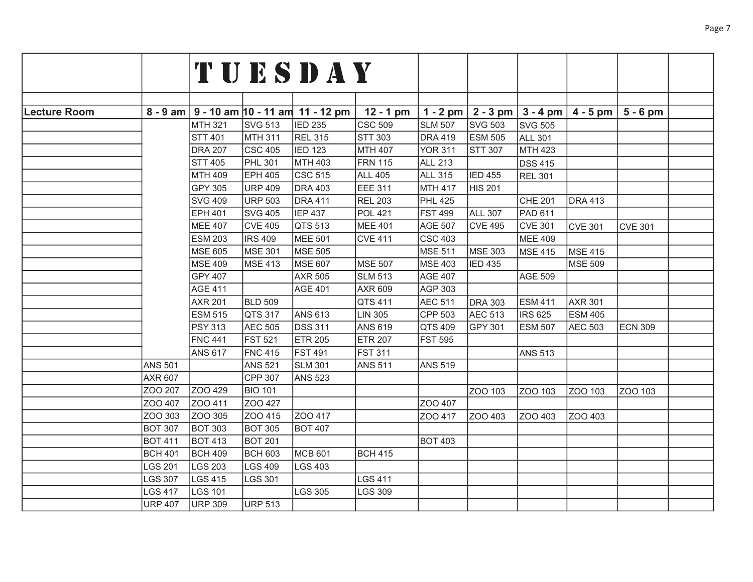|                     |                |                |                | TUESDAY                                        |                |                  |                |                |                                  |                |  |
|---------------------|----------------|----------------|----------------|------------------------------------------------|----------------|------------------|----------------|----------------|----------------------------------|----------------|--|
|                     |                |                |                |                                                |                |                  |                |                |                                  |                |  |
|                     |                |                |                |                                                |                |                  |                |                |                                  |                |  |
| <b>Lecture Room</b> |                |                |                | $8 - 9$ am $9 - 10$ am $10 - 11$ am 11 - 12 pm | $12 - 1$ pm    | 1 - 2 pm $\vert$ |                |                | $2 - 3$ pm $3 - 4$ pm $4 - 5$ pm | $5 - 6$ pm     |  |
|                     |                | <b>MTH 321</b> | SVG 513        | <b>IED 235</b>                                 | <b>CSC 509</b> | <b>SLM 507</b>   | <b>SVG 503</b> | <b>SVG 505</b> |                                  |                |  |
|                     |                | <b>STT 401</b> | MTH 311        | <b>REL 315</b>                                 | <b>STT 303</b> | <b>DRA 419</b>   | <b>ESM 505</b> | <b>ALL 301</b> |                                  |                |  |
|                     |                | <b>DRA 207</b> | CSC 405        | <b>IED 123</b>                                 | <b>MTH 407</b> | <b>YOR 311</b>   | STT 307        | <b>MTH 423</b> |                                  |                |  |
|                     |                | <b>STT 405</b> | <b>PHL 301</b> | MTH 403                                        | <b>FRN 115</b> | <b>ALL 213</b>   |                | <b>DSS 415</b> |                                  |                |  |
|                     |                | MTH 409        | EPH 405        | CSC <sub>515</sub>                             | <b>ALL 405</b> | <b>ALL 315</b>   | <b>IED 455</b> |                |                                  |                |  |
|                     |                | <b>GPY 305</b> | <b>URP 409</b> | <b>DRA 403</b>                                 | EEE 311        | MTH 417          | HIS 201        | <b>REL 301</b> |                                  |                |  |
|                     |                | <b>SVG 409</b> | URP 503        | <b>DRA 411</b>                                 | <b>REL 203</b> | <b>PHL 425</b>   |                | CHE 201        | <b>DRA 413</b>                   |                |  |
|                     |                | <b>EPH 401</b> | <b>SVG 405</b> | <b>IEP 437</b>                                 | <b>POL 421</b> | <b>FST 499</b>   | ALL 307        | <b>PAD 611</b> |                                  |                |  |
|                     |                | <b>MEE 407</b> | <b>CVE 405</b> | QTS 513                                        | MEE 401        | <b>AGE 507</b>   | <b>CVE 495</b> | <b>CVE 301</b> |                                  |                |  |
|                     |                |                |                |                                                |                | $CSC$ 403        |                | <b>MEE 409</b> | <b>CVE 301</b>                   | <b>CVE 301</b> |  |
|                     |                | <b>ESM 203</b> | <b>IRS 409</b> | <b>MEE 501</b>                                 | <b>CVE 411</b> | <b>MSE 511</b>   |                |                |                                  |                |  |
|                     |                | <b>MSE 605</b> | <b>MSE 301</b> | MSE 505                                        |                |                  | MSE 303        | <b>MSE 415</b> | <b>MSE 415</b>                   |                |  |
|                     |                | <b>MSE 409</b> | MSE 413        | <b>MSE 607</b>                                 | <b>MSE 507</b> | <b>MSE 403</b>   | <b>IED 435</b> |                | MSE 509                          |                |  |
|                     |                | <b>GPY 407</b> |                | <b>AXR 505</b>                                 | <b>SLM 513</b> | <b>AGE 407</b>   |                | <b>AGE 509</b> |                                  |                |  |
|                     |                | <b>AGE 411</b> |                | <b>AGE 401</b>                                 | <b>AXR 609</b> | AGP 303          |                |                |                                  |                |  |
|                     |                | <b>AXR 201</b> | <b>BLD 509</b> |                                                | QTS 411        | <b>AEC 511</b>   | <b>DRA 303</b> | <b>ESM 411</b> | <b>AXR 301</b>                   |                |  |
|                     |                | <b>ESM 515</b> | QTS 317        | ANS 613                                        | <b>LIN 305</b> | CPP 503          | AEC 513        | <b>IRS 625</b> | <b>ESM 405</b>                   |                |  |
|                     |                | <b>PSY 313</b> | <b>AEC 505</b> | <b>DSS 311</b>                                 | <b>ANS 619</b> | QTS 409          | <b>GPY 301</b> | <b>ESM 507</b> | <b>AEC 503</b>                   | <b>ECN 309</b> |  |
|                     |                | <b>FNC 441</b> | <b>FST 521</b> | <b>ETR 205</b>                                 | <b>ETR 207</b> | <b>FST 595</b>   |                |                |                                  |                |  |
|                     |                | <b>ANS 617</b> | <b>FNC 415</b> | <b>FST 491</b>                                 | <b>FST 311</b> |                  |                | <b>ANS 513</b> |                                  |                |  |
|                     | <b>ANS 501</b> |                | <b>ANS 521</b> | <b>SLM 301</b>                                 | <b>ANS 511</b> | <b>ANS 519</b>   |                |                |                                  |                |  |
|                     | <b>AXR 607</b> |                | <b>CPP 307</b> | <b>ANS 523</b>                                 |                |                  |                |                |                                  |                |  |
|                     | ZOO 207        | ZOO 429        | <b>BIO 101</b> |                                                |                |                  | ZOO 103        | ZOO 103        | ZOO 103                          | ZOO 103        |  |
|                     | ZOO 407        | ZOO 411        | ZOO 427        |                                                |                | ZOO 407          |                |                |                                  |                |  |
|                     | ZOO 303        | ZOO 305        | ZOO 415        | ZOO 417                                        |                | ZOO 417          | ZOO 403        | ZOO 403        | ZOO 403                          |                |  |
|                     | <b>BOT 307</b> | <b>BOT 303</b> | <b>BOT 305</b> | <b>BOT 407</b>                                 |                |                  |                |                |                                  |                |  |
|                     | <b>BOT 411</b> | <b>BOT 413</b> | <b>BOT 201</b> |                                                |                | <b>BOT 403</b>   |                |                |                                  |                |  |
|                     | <b>BCH 401</b> | <b>BCH 409</b> | <b>BCH 603</b> | <b>MCB 601</b>                                 | <b>BCH 415</b> |                  |                |                |                                  |                |  |
|                     | <b>LGS 201</b> | <b>LGS 203</b> | LGS 409        | LGS 403                                        |                |                  |                |                |                                  |                |  |
|                     | <b>LGS 307</b> | <b>LGS 415</b> | LGS 301        |                                                | <b>LGS 411</b> |                  |                |                |                                  |                |  |
|                     | <b>LGS 417</b> | <b>LGS 101</b> |                | <b>LGS 305</b>                                 | <b>LGS 309</b> |                  |                |                |                                  |                |  |
|                     | <b>URP 407</b> | <b>URP 309</b> | <b>URP 513</b> |                                                |                |                  |                |                |                                  |                |  |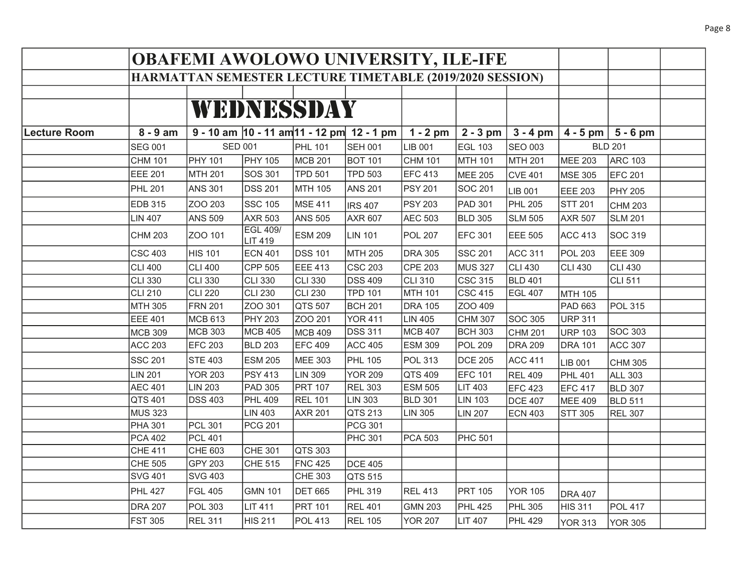|              |                                                          | <b>OBAFEMI AWOLOWO UNIVERSITY, ILE-IFE</b> |                            |                |                                                    |                |                |                |                |                       |  |
|--------------|----------------------------------------------------------|--------------------------------------------|----------------------------|----------------|----------------------------------------------------|----------------|----------------|----------------|----------------|-----------------------|--|
|              | HARMATTAN SEMESTER LECTURE TIMETABLE (2019/2020 SESSION) |                                            |                            |                |                                                    |                |                |                |                |                       |  |
|              |                                                          |                                            |                            |                |                                                    |                |                |                |                |                       |  |
|              |                                                          |                                            |                            | WEDNESSDAY     |                                                    |                |                |                |                |                       |  |
|              |                                                          |                                            |                            |                |                                                    |                |                |                |                |                       |  |
| Lecture Room | $8 - 9$ am                                               |                                            |                            |                | 9 - 10 am $ 10 - 11$ am $ 11 - 12$ pm $ 12 - 1$ pm | $1 - 2$ pm     | $2 - 3$ pm     | $3 - 4$ pm     |                | $4 - 5$ pm   5 - 6 pm |  |
|              | <b>SEG 001</b>                                           | <b>SED 001</b>                             |                            | <b>PHL 101</b> | <b>SEH 001</b>                                     | LIB 001        | <b>EGL 103</b> | SEO 003        |                | <b>BLD 201</b>        |  |
|              | <b>CHM 101</b>                                           | PHY 101                                    | <b>PHY 105</b>             | MCB 201        | <b>BOT 101</b>                                     | <b>CHM 101</b> | MTH 101        | MTH 201        | MEE 203        | <b>ARC 103</b>        |  |
|              | <b>EEE 201</b>                                           | MTH 201                                    | SOS 301                    | <b>TPD 501</b> | <b>TPD 503</b>                                     | EFC 413        | <b>MEE 205</b> | <b>CVE 401</b> | <b>MSE 305</b> | EFC 201               |  |
|              | <b>PHL 201</b>                                           | <b>ANS 301</b>                             | <b>DSS 201</b>             | MTH 105        | <b>ANS 201</b>                                     | <b>PSY 201</b> | SOC 201        | <b>LIB 001</b> | <b>EEE 203</b> | <b>PHY 205</b>        |  |
|              | <b>EDB 315</b>                                           | ZOO 203                                    | <b>SSC 105</b>             | <b>MSE 411</b> | <b>IRS 407</b>                                     | <b>PSY 203</b> | PAD 301        | <b>PHL 205</b> | <b>STT 201</b> | <b>CHM 203</b>        |  |
|              | <b>LIN 407</b>                                           | <b>ANS 509</b>                             | <b>AXR 503</b>             | <b>ANS 505</b> | AXR 607                                            | <b>AEC 503</b> | <b>BLD 305</b> | <b>SLM 505</b> | <b>AXR 507</b> | <b>SLM 201</b>        |  |
|              | <b>CHM 203</b>                                           | ZOO 101                                    | <b>EGL 409/</b><br>LIT 419 | <b>ESM 209</b> | <b>LIN 101</b>                                     | <b>POL 207</b> | <b>EFC 301</b> | <b>EEE 505</b> | <b>ACC 413</b> | SOC 319               |  |
|              | <b>CSC 403</b>                                           | <b>HIS 101</b>                             | <b>ECN 401</b>             | <b>DSS 101</b> | <b>MTH 205</b>                                     | <b>DRA 305</b> | <b>SSC 201</b> | <b>ACC 311</b> | <b>POL 203</b> | EEE 309               |  |
|              | <b>CLI 400</b>                                           | <b>CLI 400</b>                             | <b>CPP 505</b>             | <b>EEE 413</b> | <b>CSC 203</b>                                     | <b>CPE 203</b> | <b>MUS 327</b> | <b>CLI 430</b> | <b>CLI 430</b> | <b>CLI 430</b>        |  |
|              | <b>CLI 330</b>                                           | <b>CLI 330</b>                             | <b>CLI 330</b>             | CLI 330        | <b>DSS 409</b>                                     | <b>CLI 310</b> | CSC 315        | <b>BLD 401</b> |                | CLI 511               |  |
|              | <b>CLI 210</b>                                           | <b>CLI 220</b>                             | <b>CLI 230</b>             | CLI 230        | <b>TPD 101</b>                                     | MTH 101        | CSC 415        | EGL 407        | MTH 105        |                       |  |
|              | <b>MTH 305</b>                                           | <b>FRN 201</b>                             | ZOO 301                    | QTS 507        | <b>BCH 201</b>                                     | <b>DRA 105</b> | ZOO 409        |                | PAD 663        | POL 315               |  |
|              | <b>EEE 401</b>                                           | <b>MCB 613</b>                             | <b>PHY 203</b>             | ZOO 201        | <b>YOR 411</b>                                     | LIN 405        | CHM 307        | SOC 305        | <b>URP 311</b> |                       |  |
|              | <b>MCB 309</b>                                           | MCB 303                                    | <b>MCB 405</b>             | <b>MCB 409</b> | <b>DSS 311</b>                                     | <b>MCB 407</b> | <b>BCH 303</b> | <b>CHM 201</b> | <b>URP 103</b> | SOC 303               |  |
|              | <b>ACC 203</b>                                           | EFC 203                                    | <b>BLD 203</b>             | <b>EFC 409</b> | <b>ACC 405</b>                                     | <b>ESM 309</b> | <b>POL 209</b> | <b>DRA 209</b> | <b>DRA 101</b> | ACC 307               |  |
|              | <b>SSC 201</b>                                           | <b>STE 403</b>                             | <b>ESM 205</b>             | <b>MEE 303</b> | <b>PHL 105</b>                                     | <b>POL 313</b> | <b>DCE 205</b> | <b>ACC 411</b> | LIB 001        | <b>CHM 305</b>        |  |
|              | <b>LIN 201</b>                                           | <b>YOR 203</b>                             | <b>PSY 413</b>             | LIN 309        | <b>YOR 209</b>                                     | QTS 409        | <b>EFC 101</b> | <b>REL 409</b> | <b>PHL 401</b> | ALL 303               |  |
|              | <b>AEC 401</b>                                           | <b>LIN 203</b>                             | <b>PAD 305</b>             | <b>PRT 107</b> | <b>REL 303</b>                                     | <b>ESM 505</b> | <b>LIT 403</b> | EFC 423        | EFC 417        | <b>BLD 307</b>        |  |
|              | QTS 401                                                  | <b>DSS 403</b>                             | <b>PHL 409</b>             | <b>REL 101</b> | <b>LIN 303</b>                                     | <b>BLD 301</b> | <b>LIN 103</b> | <b>DCE 407</b> | MEE 409        | <b>BLD 511</b>        |  |
|              | <b>MUS 323</b>                                           |                                            | <b>LIN 403</b>             | <b>AXR 201</b> | QTS 213                                            | <b>LIN 305</b> | <b>LIN 207</b> | <b>ECN 403</b> | <b>STT 305</b> | <b>REL 307</b>        |  |
|              | <b>PHA 301</b>                                           | <b>PCL 301</b>                             | <b>PCG 201</b>             |                | PCG 301                                            |                |                |                |                |                       |  |
|              | <b>PCA 402</b>                                           | <b>PCL 401</b>                             |                            |                | <b>PHC 301</b>                                     | <b>PCA 503</b> | <b>PHC 501</b> |                |                |                       |  |
|              | <b>CHE 411</b>                                           | CHE 603                                    | <b>CHE 301</b>             | QTS 303        |                                                    |                |                |                |                |                       |  |
|              | <b>CHE 505</b>                                           | <b>GPY 203</b>                             | <b>CHE 515</b>             | <b>FNC 425</b> | <b>DCE 405</b>                                     |                |                |                |                |                       |  |
|              | <b>SVG 401</b>                                           | <b>SVG 403</b>                             |                            | CHE 303        | QTS 515                                            |                |                |                |                |                       |  |
|              | <b>PHL 427</b>                                           | <b>FGL 405</b>                             | <b>GMN 101</b>             | <b>DET 665</b> | <b>PHL 319</b>                                     | <b>REL 413</b> | <b>PRT 105</b> | <b>YOR 105</b> | <b>DRA 407</b> |                       |  |
|              | <b>DRA 207</b>                                           | <b>POL 303</b>                             | <b>LIT 411</b>             | <b>PRT 101</b> | <b>REL 401</b>                                     | <b>GMN 203</b> | <b>PHL 425</b> | <b>PHL 305</b> | <b>HIS 311</b> | <b>POL 417</b>        |  |
|              | <b>FST 305</b>                                           | <b>REL 311</b>                             | <b>HIS 211</b>             | <b>POL 413</b> | <b>REL 105</b>                                     | <b>YOR 207</b> | <b>LIT 407</b> | <b>PHL 429</b> | <b>YOR 313</b> | YOR 305               |  |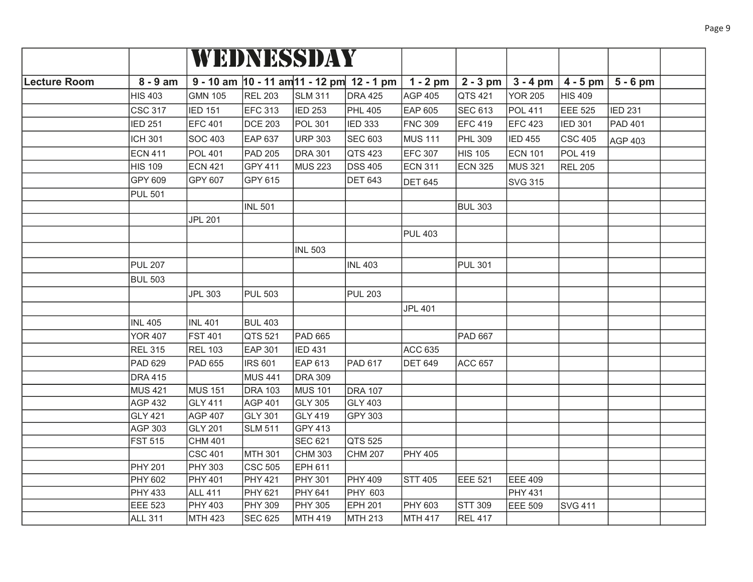|                     |                |                |                    | WEDNESSDAY     |                                                      |                |                |                |                |                |  |
|---------------------|----------------|----------------|--------------------|----------------|------------------------------------------------------|----------------|----------------|----------------|----------------|----------------|--|
| <b>Lecture Room</b> | $8 - 9$ am     |                |                    |                | $9 - 10$ am $ 10 - 11$ am $ 11 - 12$ pm $ 12 - 1$ pm | $1 - 2$ pm     | $2 - 3$ pm     | $3 - 4$ pm     | $ 4-5$ pm $ $  | $5 - 6$ pm     |  |
|                     | <b>HIS 403</b> | <b>GMN 105</b> | <b>REL 203</b>     | <b>SLM 311</b> | <b>DRA 425</b>                                       | <b>AGP 405</b> | QTS 421        | <b>YOR 205</b> | <b>HIS 409</b> |                |  |
|                     | CSC 317        | <b>IED 151</b> | <b>EFC 313</b>     | <b>IED 253</b> | <b>PHL 405</b>                                       | EAP 605        | <b>SEC 613</b> | <b>POL 411</b> | <b>EEE 525</b> | <b>IED 231</b> |  |
|                     | <b>IED 251</b> | <b>EFC 401</b> | <b>DCE 203</b>     | <b>POL 301</b> | <b>IED 333</b>                                       | <b>FNC 309</b> | <b>EFC 419</b> | <b>EFC 423</b> | <b>IED 301</b> | <b>PAD 401</b> |  |
|                     | <b>ICH 301</b> | <b>SOC 403</b> | <b>EAP 637</b>     | <b>URP 303</b> | <b>SEC 603</b>                                       | <b>MUS 111</b> | <b>PHL 309</b> | <b>IED 455</b> | <b>CSC 405</b> | AGP 403        |  |
|                     | <b>ECN 411</b> | <b>POL 401</b> | <b>PAD 205</b>     | <b>DRA 301</b> | QTS 423                                              | <b>EFC 307</b> | <b>HIS 105</b> | <b>ECN 101</b> | <b>POL 419</b> |                |  |
|                     | <b>HIS 109</b> | <b>ECN 421</b> | GPY 411            | MUS 223        | <b>DSS 405</b>                                       | <b>ECN 311</b> | <b>ECN 325</b> | MUS 321        | <b>REL 205</b> |                |  |
|                     | GPY 609        | GPY 607        | GPY 615            |                | <b>DET 643</b>                                       | <b>DET 645</b> |                | <b>SVG 315</b> |                |                |  |
|                     | <b>PUL 501</b> |                |                    |                |                                                      |                |                |                |                |                |  |
|                     |                |                | <b>INL 501</b>     |                |                                                      |                | <b>BUL 303</b> |                |                |                |  |
|                     |                | <b>JPL 201</b> |                    |                |                                                      |                |                |                |                |                |  |
|                     |                |                |                    |                |                                                      | <b>PUL 403</b> |                |                |                |                |  |
|                     |                |                |                    | <b>INL 503</b> |                                                      |                |                |                |                |                |  |
|                     | <b>PUL 207</b> |                |                    |                | <b>INL 403</b>                                       |                | <b>PUL 301</b> |                |                |                |  |
|                     | <b>BUL 503</b> |                |                    |                |                                                      |                |                |                |                |                |  |
|                     |                | <b>JPL 303</b> | <b>PUL 503</b>     |                | <b>PUL 203</b>                                       |                |                |                |                |                |  |
|                     |                |                |                    |                |                                                      | <b>JPL 401</b> |                |                |                |                |  |
|                     | <b>INL 405</b> | <b>INL 401</b> | <b>BUL 403</b>     |                |                                                      |                |                |                |                |                |  |
|                     | <b>YOR 407</b> | <b>FST 401</b> | QTS 521            | <b>PAD 665</b> |                                                      |                | <b>PAD 667</b> |                |                |                |  |
|                     | <b>REL 315</b> | <b>REL 103</b> | <b>EAP 301</b>     | <b>IED 431</b> |                                                      | <b>ACC 635</b> |                |                |                |                |  |
|                     | <b>PAD 629</b> | <b>PAD 655</b> | <b>IRS 601</b>     | EAP 613        | <b>PAD 617</b>                                       | <b>DET 649</b> | <b>ACC 657</b> |                |                |                |  |
|                     | <b>DRA 415</b> |                | <b>MUS 441</b>     | <b>DRA 309</b> |                                                      |                |                |                |                |                |  |
|                     | <b>MUS 421</b> | <b>MUS 151</b> | <b>DRA 103</b>     | <b>MUS 101</b> | <b>DRA 107</b>                                       |                |                |                |                |                |  |
|                     | AGP 432        | <b>GLY 411</b> | <b>AGP 401</b>     | <b>GLY 305</b> | <b>GLY 403</b>                                       |                |                |                |                |                |  |
|                     | <b>GLY 421</b> | <b>AGP 407</b> | <b>GLY 301</b>     | GLY 419        | GPY 303                                              |                |                |                |                |                |  |
|                     | AGP 303        | <b>GLY 201</b> | <b>SLM 511</b>     | <b>GPY 413</b> |                                                      |                |                |                |                |                |  |
|                     | <b>FST 515</b> | <b>CHM 401</b> |                    | <b>SEC 621</b> | QTS 525                                              |                |                |                |                |                |  |
|                     |                | <b>CSC 401</b> | <b>MTH 301</b>     | <b>CHM 303</b> | <b>CHM 207</b>                                       | <b>PHY 405</b> |                |                |                |                |  |
|                     | <b>PHY 201</b> | PHY 303        | CSC <sub>505</sub> | EPH 611        |                                                      |                |                |                |                |                |  |
|                     | <b>PHY 602</b> | PHY 401        | <b>PHY 421</b>     | PHY 301        | <b>PHY 409</b>                                       | STT 405        | EEE 521        | EEE 409        |                |                |  |
|                     | <b>PHY 433</b> | <b>ALL 411</b> | <b>PHY 621</b>     | PHY 641        | <b>PHY 603</b>                                       |                |                | <b>PHY 431</b> |                |                |  |
|                     | EEE 523        | PHY 403        | <b>PHY 309</b>     | PHY 305        | <b>EPH 201</b>                                       | <b>PHY 603</b> | STT 309        | EEE 509        | <b>SVG 411</b> |                |  |
|                     | <b>ALL 311</b> | <b>MTH 423</b> | <b>SEC 625</b>     | MTH 419        | <b>MTH 213</b>                                       | MTH 417        | <b>REL 417</b> |                |                |                |  |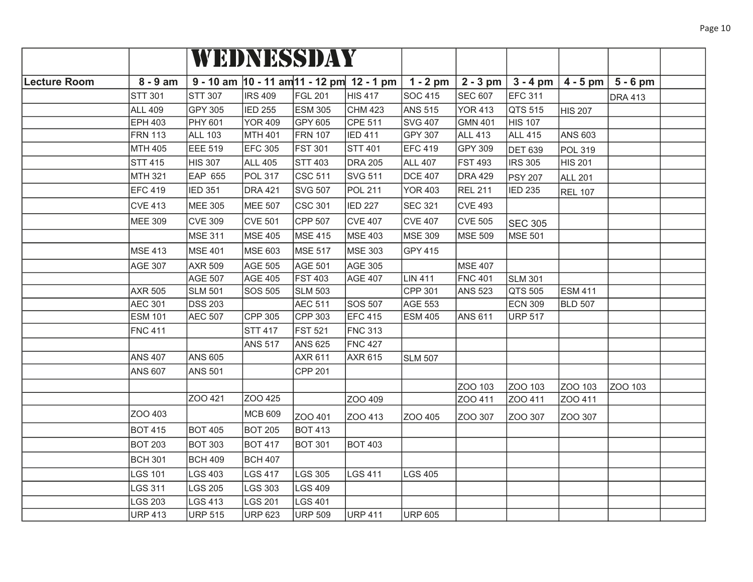|                     |                |                |                | WEDNESSDAY     |                                                    |                |                |                |                |                |  |
|---------------------|----------------|----------------|----------------|----------------|----------------------------------------------------|----------------|----------------|----------------|----------------|----------------|--|
| <b>Lecture Room</b> | $8 - 9$ am     |                |                |                | 9 - 10 am $ 10 - 11$ am $ 11 - 12$ pm $ 12 - 1$ pm | $1 - 2$ pm     | $2 - 3$ pm     | $3 - 4$ pm     | $4 - 5$ pm     | $5 - 6$ pm     |  |
|                     | <b>STT 301</b> | <b>STT 307</b> | <b>IRS 409</b> | <b>FGL 201</b> | HIS 417                                            | <b>SOC 415</b> | <b>SEC 607</b> | EFC 311        |                | <b>DRA 413</b> |  |
|                     | <b>ALL 409</b> | <b>GPY 305</b> | <b>IED 255</b> | <b>ESM 305</b> | <b>CHM 423</b>                                     | <b>ANS 515</b> | <b>YOR 413</b> | QTS 515        | <b>HIS 207</b> |                |  |
|                     | <b>EPH 403</b> | PHY 601        | <b>YOR 409</b> | <b>GPY 605</b> | <b>CPE 511</b>                                     | <b>SVG 407</b> | <b>GMN 401</b> | HIS 107        |                |                |  |
|                     | <b>FRN 113</b> | <b>ALL 103</b> | <b>MTH 401</b> | <b>FRN 107</b> | <b>IED 411</b>                                     | GPY 307        | <b>ALL 413</b> | <b>ALL 415</b> | <b>ANS 603</b> |                |  |
|                     | MTH 405        | EEE 519        | <b>EFC 305</b> | <b>FST 301</b> | <b>STT 401</b>                                     | <b>EFC 419</b> | <b>GPY 309</b> | <b>DET 639</b> | POL 319        |                |  |
|                     | <b>STT 415</b> | <b>HIS 307</b> | <b>ALL 405</b> | <b>STT 403</b> | <b>DRA 205</b>                                     | <b>ALL 407</b> | <b>FST 493</b> | <b>IRS 305</b> | <b>HIS 201</b> |                |  |
|                     | MTH 321        | EAP 655        | <b>POL 317</b> | CSC 511        | <b>SVG 511</b>                                     | <b>DCE 407</b> | <b>DRA 429</b> | <b>PSY 207</b> | <b>ALL 201</b> |                |  |
|                     | <b>EFC 419</b> | <b>IED 351</b> | <b>DRA 421</b> | <b>SVG 507</b> | <b>POL 211</b>                                     | <b>YOR 403</b> | <b>REL 211</b> | <b>IED 235</b> | <b>REL 107</b> |                |  |
|                     | <b>CVE 413</b> | <b>MEE 305</b> | <b>MEE 507</b> | <b>CSC 301</b> | <b>IED 227</b>                                     | <b>SEC 321</b> | <b>CVE 493</b> |                |                |                |  |
|                     | MEE 309        | <b>CVE 309</b> | <b>CVE 501</b> | CPP 507        | <b>CVE 407</b>                                     | <b>CVE 407</b> | <b>CVE 505</b> | <b>SEC 305</b> |                |                |  |
|                     |                | <b>MSE 311</b> | <b>MSE 405</b> | <b>MSE 415</b> | <b>MSE 403</b>                                     | <b>MSE 309</b> | <b>MSE 509</b> | MSE 501        |                |                |  |
|                     | <b>MSE 413</b> | <b>MSE 401</b> | <b>MSE 603</b> | <b>MSE 517</b> | MSE 303                                            | <b>GPY 415</b> |                |                |                |                |  |
|                     | <b>AGE 307</b> | <b>AXR 509</b> | <b>AGE 505</b> | <b>AGE 501</b> | AGE 305                                            |                | <b>MSE 407</b> |                |                |                |  |
|                     |                | <b>AGE 507</b> | <b>AGE 405</b> | <b>FST 403</b> | <b>AGE 407</b>                                     | <b>LIN 411</b> | <b>FNC 401</b> | <b>SLM 301</b> |                |                |  |
|                     | <b>AXR 505</b> | <b>SLM 501</b> | <b>SOS 505</b> | <b>SLM 503</b> |                                                    | <b>CPP 301</b> | <b>ANS 523</b> | QTS 505        | <b>ESM 411</b> |                |  |
|                     | <b>AEC 301</b> | <b>DSS 203</b> |                | <b>AEC 511</b> | <b>SOS 507</b>                                     | <b>AGE 553</b> |                | <b>ECN 309</b> | <b>BLD 507</b> |                |  |
|                     | <b>ESM 101</b> | <b>AEC 507</b> | CPP 305        | CPP 303        | <b>EFC 415</b>                                     | <b>ESM 405</b> | <b>ANS 611</b> | <b>URP 517</b> |                |                |  |
|                     | <b>FNC 411</b> |                | <b>STT 417</b> | <b>FST 521</b> | <b>FNC 313</b>                                     |                |                |                |                |                |  |
|                     |                |                | <b>ANS 517</b> | <b>ANS 625</b> | <b>FNC 427</b>                                     |                |                |                |                |                |  |
|                     | <b>ANS 407</b> | <b>ANS 605</b> |                | <b>AXR 611</b> | AXR 615                                            | <b>SLM 507</b> |                |                |                |                |  |
|                     | <b>ANS 607</b> | <b>ANS 501</b> |                | <b>CPP 201</b> |                                                    |                |                |                |                |                |  |
|                     |                |                |                |                |                                                    |                | ZOO 103        | ZOO 103        | ZOO 103        | ZOO 103        |  |
|                     |                | ZOO 421        | ZOO 425        |                | ZOO 409                                            |                | ZOO 411        | ZOO 411        | ZOO 411        |                |  |
|                     | ZOO 403        |                | <b>MCB 609</b> | ZOO 401        | ZOO 413                                            | ZOO 405        | ZOO 307        | ZOO 307        | ZOO 307        |                |  |
|                     | <b>BOT 415</b> | <b>BOT 405</b> | <b>BOT 205</b> | <b>BOT 413</b> |                                                    |                |                |                |                |                |  |
|                     | <b>BOT 203</b> | <b>BOT 303</b> | <b>BOT 417</b> | <b>BOT 301</b> | <b>BOT 403</b>                                     |                |                |                |                |                |  |
|                     | <b>BCH 301</b> | <b>BCH 409</b> | <b>BCH 407</b> |                |                                                    |                |                |                |                |                |  |
|                     | <b>LGS 101</b> | <b>LGS 403</b> | <b>LGS 417</b> | <b>LGS 305</b> | LGS 411                                            | <b>LGS 405</b> |                |                |                |                |  |
|                     | LGS 311        | <b>LGS 205</b> | LGS 303        | <b>LGS 409</b> |                                                    |                |                |                |                |                |  |
|                     | <b>LGS 203</b> | <b>LGS 413</b> | <b>LGS 201</b> | <b>LGS 401</b> |                                                    |                |                |                |                |                |  |
|                     | <b>URP 413</b> | <b>URP 515</b> | <b>URP 623</b> | URP 509        | <b>URP 411</b>                                     | <b>URP 605</b> |                |                |                |                |  |

Page 10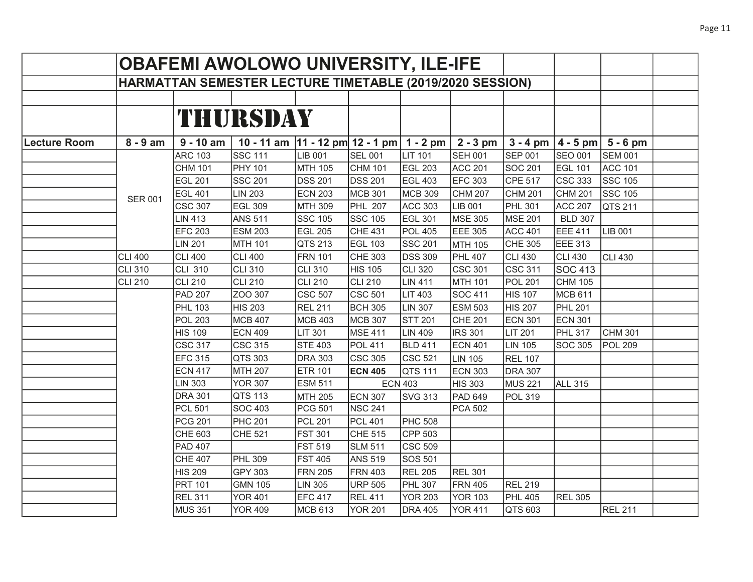|              |                |                        | <b>OBAFEMI AWOLOWO UNIVERSITY, ILE-IFE</b>               |                |                |                |                |                |                |                         |  |
|--------------|----------------|------------------------|----------------------------------------------------------|----------------|----------------|----------------|----------------|----------------|----------------|-------------------------|--|
|              |                |                        | HARMATTAN SEMESTER LECTURE TIMETABLE (2019/2020 SESSION) |                |                |                |                |                |                |                         |  |
|              |                |                        |                                                          |                |                |                |                |                |                |                         |  |
|              |                |                        | THURSDAY                                                 |                |                |                |                |                |                |                         |  |
| Lecture Room | $8 - 9$ am     | $\overline{9}$ - 10 am | 10 - 11 am $ 11 - 12$ pm $ 12 - 1$ pm $ 1 - 2$ pm        |                |                |                | $2 - 3$ pm     | $3 - 4$ pm     |                | $ 4 - 5$ pm $ 5 - 6$ pm |  |
|              |                | <b>ARC 103</b>         | <b>SSC 111</b>                                           | <b>LIB 001</b> | <b>SEL 001</b> | <b>LIT 101</b> | <b>SEH 001</b> | <b>SEP 001</b> | <b>SEO 001</b> | <b>SEM 001</b>          |  |
|              |                | <b>CHM 101</b>         | <b>PHY 101</b>                                           | <b>MTH 105</b> | <b>CHM 101</b> | EGL 203        | <b>ACC 201</b> | <b>SOC 201</b> | <b>EGL 101</b> | <b>ACC 101</b>          |  |
|              |                | <b>EGL 201</b>         | <b>SSC 201</b>                                           | <b>DSS 201</b> | <b>DSS 201</b> | <b>EGL 403</b> | <b>EFC 303</b> | <b>CPE 517</b> | $CSC$ 333      | <b>SSC 105</b>          |  |
|              |                | <b>EGL 401</b>         | <b>LIN 203</b>                                           | <b>ECN 203</b> | <b>MCB 301</b> | MCB 309        | <b>CHM 207</b> | <b>CHM 201</b> | <b>CHM 201</b> | SSC 105                 |  |
|              | <b>SER 001</b> | <b>CSC 307</b>         | <b>EGL 309</b>                                           | <b>MTH 309</b> | <b>PHL 207</b> | <b>ACC 303</b> | LIB 001        | <b>PHL 301</b> | <b>ACC 207</b> | QTS 211                 |  |
|              |                | <b>LIN 413</b>         | <b>ANS 511</b>                                           | <b>SSC 105</b> | <b>SSC 105</b> | <b>EGL 301</b> | <b>MSE 305</b> | <b>MSE 201</b> | <b>BLD 307</b> |                         |  |
|              |                | <b>EFC 203</b>         | <b>ESM 203</b>                                           | <b>EGL 205</b> | <b>CHE 431</b> | <b>POL 405</b> | <b>EEE 305</b> | <b>ACC 401</b> | <b>EEE 411</b> | LIB 001                 |  |
|              |                | <b>LIN 201</b>         | <b>MTH 101</b>                                           | QTS 213        | <b>EGL 103</b> | SSC 201        | MTH 105        | <b>CHE 305</b> | EEE 313        |                         |  |
|              | <b>CLI 400</b> | <b>CLI 400</b>         | <b>CLI 400</b>                                           | <b>FRN 101</b> | CHE 303        | DSS 309        | <b>PHL 407</b> | <b>CLI 430</b> | <b>CLI 430</b> | CLI 430                 |  |
|              | <b>CLI 310</b> | <b>CLI 310</b>         | <b>CLI 310</b>                                           | <b>CLI 310</b> | <b>HIS 105</b> | CLI 320        | <b>CSC 301</b> | <b>CSC 311</b> | <b>SOC 413</b> |                         |  |
|              | <b>CLI 210</b> | <b>CLI 210</b>         | <b>CLI 210</b>                                           | <b>CLI 210</b> | <b>CLI 210</b> | <b>LIN 411</b> | <b>MTH 101</b> | <b>POL 201</b> | <b>CHM 105</b> |                         |  |
|              |                | <b>PAD 207</b>         | ZOO 307                                                  | <b>CSC 507</b> | <b>CSC 501</b> | LIT 403        | <b>SOC 411</b> | <b>HIS 107</b> | <b>MCB 611</b> |                         |  |
|              |                | <b>PHL 103</b>         | <b>HIS 203</b>                                           | <b>REL 211</b> | <b>BCH 305</b> | LIN 307        | <b>ESM 503</b> | <b>HIS 207</b> | <b>PHL 201</b> |                         |  |
|              |                | <b>POL 203</b>         | <b>MCB 407</b>                                           | <b>MCB 403</b> | <b>MCB 307</b> | STT 201        | <b>CHE 201</b> | <b>ECN 301</b> | <b>ECN 301</b> |                         |  |
|              |                | <b>HIS 109</b>         | <b>ECN 409</b>                                           | LIT 301        | <b>MSE 411</b> | LIN 409        | <b>IRS 301</b> | <b>LIT 201</b> | <b>PHL 317</b> | CHM 301                 |  |
|              |                | <b>CSC 317</b>         | <b>CSC 315</b>                                           | <b>STE 403</b> | <b>POL 411</b> | <b>BLD 411</b> | <b>ECN 401</b> | <b>LIN 105</b> | SOC 305        | <b>POL 209</b>          |  |
|              |                | <b>EFC 315</b>         | QTS 303                                                  | <b>DRA 303</b> | <b>CSC 305</b> | CSC 521        | <b>LIN 105</b> | <b>REL 107</b> |                |                         |  |
|              |                | <b>ECN 417</b>         | <b>MTH 207</b>                                           | <b>ETR 101</b> | <b>ECN 405</b> | QTS 111        | <b>ECN 303</b> | <b>DRA 307</b> |                |                         |  |
|              |                | <b>LIN 303</b>         | <b>YOR 307</b>                                           | <b>ESM 511</b> |                | <b>ECN 403</b> | <b>HIS 303</b> | <b>MUS 221</b> | ALL 315        |                         |  |
|              |                | <b>DRA 301</b>         | QTS 113                                                  | MTH 205        | <b>ECN 307</b> | <b>SVG 313</b> | PAD 649        | <b>POL 319</b> |                |                         |  |
|              |                | <b>PCL 501</b>         | <b>SOC 403</b>                                           | <b>PCG 501</b> | <b>NSC 241</b> |                | PCA 502        |                |                |                         |  |
|              |                | <b>PCG 201</b>         | <b>PHC 201</b>                                           | <b>PCL 201</b> | <b>PCL 401</b> | <b>PHC 508</b> |                |                |                |                         |  |
|              |                | <b>CHE 603</b>         | <b>CHE 521</b>                                           | <b>FST 301</b> | CHE 515        | CPP 503        |                |                |                |                         |  |
|              |                | <b>PAD 407</b>         |                                                          | <b>FST 519</b> | <b>SLM 511</b> | CSC 509        |                |                |                |                         |  |
|              |                | <b>CHE 407</b>         | <b>PHL 309</b>                                           | <b>FST 405</b> | <b>ANS 519</b> | SOS 501        |                |                |                |                         |  |
|              |                | <b>HIS 209</b>         | <b>GPY 303</b>                                           | <b>FRN 205</b> | <b>FRN 403</b> | <b>REL 205</b> | <b>REL 301</b> |                |                |                         |  |
|              |                | <b>PRT 101</b>         | <b>GMN 105</b>                                           | <b>LIN 305</b> | <b>URP 505</b> | <b>PHL 307</b> | <b>FRN 405</b> | <b>REL 219</b> |                |                         |  |
|              |                | <b>REL 311</b>         | <b>YOR 401</b>                                           | <b>EFC 417</b> | <b>REL 411</b> | <b>YOR 203</b> | <b>YOR 103</b> | <b>PHL 405</b> | <b>REL 305</b> |                         |  |
|              |                | <b>MUS 351</b>         | <b>YOR 409</b>                                           | MCB 613        | <b>YOR 201</b> | <b>DRA 405</b> | <b>YOR 411</b> | QTS 603        |                | <b>REL 211</b>          |  |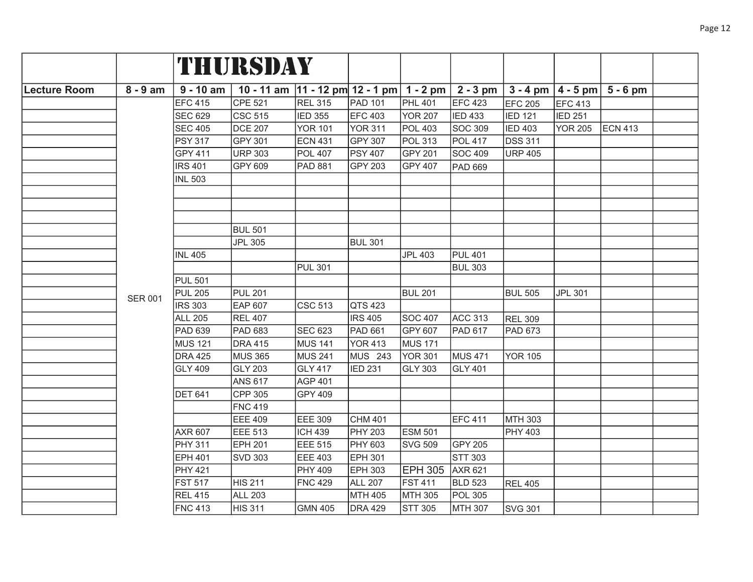|                     |                |                | THURSDAY                                                          |                |                |                |                |                |                |                                    |  |
|---------------------|----------------|----------------|-------------------------------------------------------------------|----------------|----------------|----------------|----------------|----------------|----------------|------------------------------------|--|
| <b>Lecture Room</b> | $8 - 9$ am     | $9 - 10$ am    | 10 - 11 am $ 11 - 12$ pm $ 12 - 1$ pm $ 1 - 2$ pm $ 2 - 3$ pm $ $ |                |                |                |                |                |                | $3 - 4$ pm $ 4 - 5$ pm $ 5 - 6$ pm |  |
|                     |                | <b>EFC 415</b> | <b>CPE 521</b>                                                    | <b>REL 315</b> | <b>PAD 101</b> | <b>PHL 401</b> | <b>EFC 423</b> | <b>EFC 205</b> | EFC 413        |                                    |  |
|                     |                | <b>SEC 629</b> | <b>CSC 515</b>                                                    | <b>IED 355</b> | <b>EFC 403</b> | <b>YOR 207</b> | <b>IED 433</b> | <b>IED 121</b> | <b>IED 251</b> |                                    |  |
|                     |                | <b>SEC 405</b> | <b>DCE 207</b>                                                    | <b>YOR 101</b> | <b>YOR 311</b> | <b>POL 403</b> | <b>SOC 309</b> | <b>IED 403</b> | <b>YOR 205</b> | <b>ECN 413</b>                     |  |
|                     |                | <b>PSY 317</b> | <b>GPY 301</b>                                                    | <b>ECN 431</b> | <b>GPY 307</b> | <b>POL 313</b> | <b>POL 417</b> | <b>DSS 311</b> |                |                                    |  |
|                     |                | <b>GPY 411</b> | <b>URP 303</b>                                                    | <b>POL 407</b> | <b>PSY 407</b> | <b>GPY 201</b> | <b>SOC 409</b> | <b>URP 405</b> |                |                                    |  |
|                     |                | <b>IRS 401</b> | <b>GPY 609</b>                                                    | <b>PAD 881</b> | <b>GPY 203</b> | <b>GPY 407</b> | <b>PAD 669</b> |                |                |                                    |  |
|                     |                | <b>INL 503</b> |                                                                   |                |                |                |                |                |                |                                    |  |
|                     |                |                |                                                                   |                |                |                |                |                |                |                                    |  |
|                     |                |                |                                                                   |                |                |                |                |                |                |                                    |  |
|                     |                |                |                                                                   |                |                |                |                |                |                |                                    |  |
|                     |                |                | <b>BUL 501</b>                                                    |                |                |                |                |                |                |                                    |  |
|                     |                |                | <b>JPL 305</b>                                                    |                | <b>BUL 301</b> |                |                |                |                |                                    |  |
|                     |                | <b>INL 405</b> |                                                                   |                |                | <b>JPL 403</b> | <b>PUL 401</b> |                |                |                                    |  |
|                     |                |                |                                                                   | <b>PUL 301</b> |                |                | <b>BUL 303</b> |                |                |                                    |  |
|                     |                | <b>PUL 501</b> |                                                                   |                |                |                |                |                |                |                                    |  |
|                     | <b>SER 001</b> | <b>PUL 205</b> | <b>PUL 201</b>                                                    |                |                | <b>BUL 201</b> |                | <b>BUL 505</b> | <b>JPL 301</b> |                                    |  |
|                     |                | <b>IRS 303</b> | <b>EAP 607</b>                                                    | <b>CSC 513</b> | QTS 423        |                |                |                |                |                                    |  |
|                     |                | <b>ALL 205</b> | <b>REL 407</b>                                                    |                | <b>IRS 405</b> | <b>SOC 407</b> | <b>ACC 313</b> | <b>REL 309</b> |                |                                    |  |
|                     |                | PAD 639        | <b>PAD 683</b>                                                    | <b>SEC 623</b> | <b>PAD 661</b> | GPY 607        | <b>PAD 617</b> | PAD 673        |                |                                    |  |
|                     |                | <b>MUS 121</b> | <b>DRA 415</b>                                                    | <b>MUS 141</b> | <b>YOR 413</b> | <b>MUS 171</b> |                |                |                |                                    |  |
|                     |                | <b>DRA 425</b> | <b>MUS 365</b>                                                    | <b>MUS 241</b> | MUS 243        | <b>YOR 301</b> | <b>MUS 471</b> | <b>YOR 105</b> |                |                                    |  |
|                     |                | <b>GLY 409</b> | <b>GLY 203</b>                                                    | <b>GLY 417</b> | <b>IED 231</b> | <b>GLY 303</b> | <b>GLY 401</b> |                |                |                                    |  |
|                     |                |                | <b>ANS 617</b>                                                    | <b>AGP 401</b> |                |                |                |                |                |                                    |  |
|                     |                | <b>DET 641</b> | <b>CPP 305</b>                                                    | <b>GPY 409</b> |                |                |                |                |                |                                    |  |
|                     |                |                | <b>FNC 419</b>                                                    |                |                |                |                |                |                |                                    |  |
|                     |                |                | <b>EEE 409</b>                                                    | <b>EEE 309</b> | <b>CHM 401</b> |                | <b>EFC 411</b> | MTH 303        |                |                                    |  |
|                     |                | <b>AXR 607</b> | <b>EEE 513</b>                                                    | <b>ICH 439</b> | <b>PHY 203</b> | <b>ESM 501</b> |                | PHY 403        |                |                                    |  |
|                     |                | <b>PHY 311</b> | <b>EPH 201</b>                                                    | <b>EEE 515</b> | PHY 603        | <b>SVG 509</b> | <b>GPY 205</b> |                |                |                                    |  |
|                     |                | <b>EPH 401</b> | <b>SVD 303</b>                                                    | <b>EEE 403</b> | <b>EPH 301</b> |                | <b>STT 303</b> |                |                |                                    |  |
|                     |                | <b>PHY 421</b> |                                                                   | <b>PHY 409</b> | <b>EPH 303</b> | <b>EPH 305</b> | <b>AXR 621</b> |                |                |                                    |  |
|                     |                | <b>FST 517</b> | <b>HIS 211</b>                                                    | <b>FNC 429</b> | <b>ALL 207</b> | <b>FST 411</b> | <b>BLD 523</b> | <b>REL 405</b> |                |                                    |  |
|                     |                | <b>REL 415</b> | <b>ALL 203</b>                                                    |                | <b>MTH 405</b> | <b>MTH 305</b> | <b>POL 305</b> |                |                |                                    |  |
|                     |                | <b>FNC 413</b> | <b>HIS 311</b>                                                    | <b>GMN 405</b> | <b>DRA 429</b> | <b>STT 305</b> | <b>MTH 307</b> | <b>SVG 301</b> |                |                                    |  |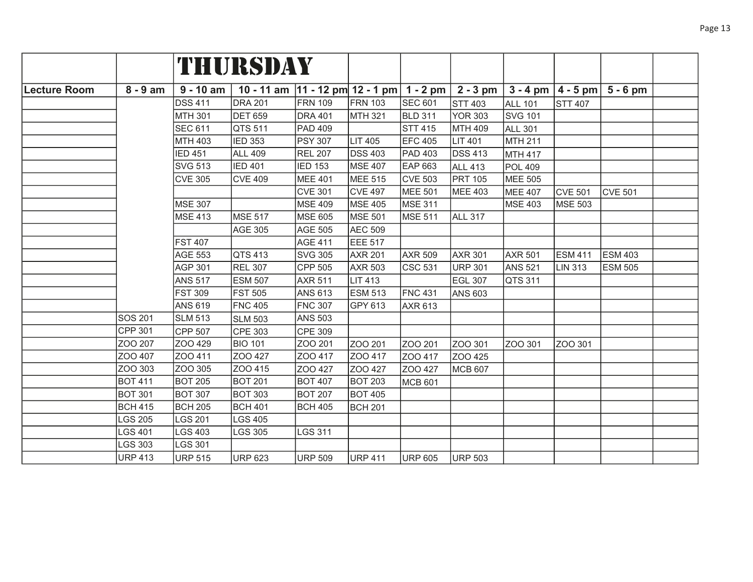|              |                |                | THURSDAY                                          |                |                |                |                |                |                |                                    |  |
|--------------|----------------|----------------|---------------------------------------------------|----------------|----------------|----------------|----------------|----------------|----------------|------------------------------------|--|
| Lecture Room | $8 - 9$ am     | $9 - 10$ am    | 10 - 11 am $ 11 - 12$ pm $ 12 - 1$ pm $ 1 - 2$ pm |                |                |                | $2 - 3$ pm     |                |                | $3 - 4$ pm $ 4 - 5$ pm $ 5 - 6$ pm |  |
|              |                | <b>DSS 411</b> | <b>DRA 201</b>                                    | <b>FRN 109</b> | <b>FRN 103</b> | <b>SEC 601</b> | <b>STT 403</b> | <b>ALL 101</b> | <b>STT 407</b> |                                    |  |
|              |                | <b>MTH 301</b> | <b>DET 659</b>                                    | <b>DRA 401</b> | MTH 321        | <b>BLD 311</b> | <b>YOR 303</b> | <b>SVG 101</b> |                |                                    |  |
|              |                | <b>SEC 611</b> | QTS 511                                           | PAD 409        |                | <b>STT 415</b> | <b>MTH 409</b> | <b>ALL 301</b> |                |                                    |  |
|              |                | <b>MTH 403</b> | <b>IED 353</b>                                    | <b>PSY 307</b> | LIT 405        | <b>EFC 405</b> | LIT 401        | <b>MTH 211</b> |                |                                    |  |
|              |                | <b>IED 451</b> | <b>ALL 409</b>                                    | <b>REL 207</b> | <b>DSS 403</b> | PAD 403        | <b>DSS 413</b> | MTH 417        |                |                                    |  |
|              |                | <b>SVG 513</b> | <b>IED 401</b>                                    | <b>IED 153</b> | <b>MSE 407</b> | <b>EAP 663</b> | <b>ALL 413</b> | <b>POL 409</b> |                |                                    |  |
|              |                | <b>CVE 305</b> | <b>CVE 409</b>                                    | <b>MEE 401</b> | <b>MEE 515</b> | <b>CVE 503</b> | <b>PRT 105</b> | <b>MEE 505</b> |                |                                    |  |
|              |                |                |                                                   | <b>CVE 301</b> | <b>CVE 497</b> | MEE 501        | <b>MEE 403</b> | MEE 407        | <b>CVE 501</b> | <b>CVE 501</b>                     |  |
|              |                | <b>MSE 307</b> |                                                   | <b>MSE 409</b> | <b>MSE 405</b> | MSE 311        |                | MSE 403        | MSE 503        |                                    |  |
|              |                | <b>MSE 413</b> | <b>MSE 517</b>                                    | <b>MSE 605</b> | <b>MSE 501</b> | MSE 511        | <b>ALL 317</b> |                |                |                                    |  |
|              |                |                | <b>AGE 305</b>                                    | <b>AGE 505</b> | <b>AEC 509</b> |                |                |                |                |                                    |  |
|              |                | <b>FST 407</b> |                                                   | <b>AGE 411</b> | <b>EEE 517</b> |                |                |                |                |                                    |  |
|              |                | <b>AGE 553</b> | QTS 413                                           | <b>SVG 305</b> | <b>AXR 201</b> | <b>AXR 509</b> | <b>AXR 301</b> | <b>AXR 501</b> | <b>ESM 411</b> | <b>ESM 403</b>                     |  |
|              |                | <b>AGP 301</b> | <b>REL 307</b>                                    | CPP 505        | <b>AXR 503</b> | <b>CSC 531</b> | <b>URP 301</b> | <b>ANS 521</b> | <b>LIN 313</b> | <b>ESM 505</b>                     |  |
|              |                | <b>ANS 517</b> | <b>ESM 507</b>                                    | <b>AXR 511</b> | <b>LIT 413</b> |                | EGL 307        | QTS 311        |                |                                    |  |
|              |                | <b>FST 309</b> | <b>FST 505</b>                                    | <b>ANS 613</b> | <b>ESM 513</b> | <b>FNC 431</b> | <b>ANS 603</b> |                |                |                                    |  |
|              |                | <b>ANS 619</b> | <b>FNC 405</b>                                    | <b>FNC 307</b> | GPY 613        | AXR 613        |                |                |                |                                    |  |
|              | <b>SOS 201</b> | <b>SLM 513</b> | <b>SLM 503</b>                                    | <b>ANS 503</b> |                |                |                |                |                |                                    |  |
|              | <b>CPP 301</b> | CPP 507        | <b>CPE 303</b>                                    | CPE 309        |                |                |                |                |                |                                    |  |
|              | ZOO 207        | ZOO 429        | <b>BIO 101</b>                                    | ZOO 201        | ZOO 201        | ZOO 201        | ZOO 301        | ZOO 301        | ZOO 301        |                                    |  |
|              | ZOO 407        | ZOO 411        | ZOO 427                                           | ZOO 417        | ZOO 417        | ZOO 417        | ZOO 425        |                |                |                                    |  |
|              | ZOO 303        | ZOO 305        | ZOO 415                                           | ZOO 427        | ZOO 427        | ZOO 427        | MCB 607        |                |                |                                    |  |
|              | <b>BOT 411</b> | <b>BOT 205</b> | <b>BOT 201</b>                                    | <b>BOT 407</b> | <b>BOT 203</b> | MCB 601        |                |                |                |                                    |  |
|              | <b>BOT 301</b> | <b>BOT 307</b> | <b>BOT 303</b>                                    | <b>BOT 207</b> | <b>BOT 405</b> |                |                |                |                |                                    |  |
|              | <b>BCH 415</b> | <b>BCH 205</b> | <b>BCH 401</b>                                    | <b>BCH 405</b> | <b>BCH 201</b> |                |                |                |                |                                    |  |
|              | LGS 205        | LGS 201        | <b>LGS 405</b>                                    |                |                |                |                |                |                |                                    |  |
|              | LGS 401        | LGS 403        | <b>LGS 305</b>                                    | LGS 311        |                |                |                |                |                |                                    |  |
|              | LGS 303        | <b>LGS 301</b> |                                                   |                |                |                |                |                |                |                                    |  |
|              | <b>URP 413</b> | <b>URP 515</b> | <b>URP 623</b>                                    | <b>URP 509</b> | <b>URP 411</b> | <b>URP 605</b> | URP 503        |                |                |                                    |  |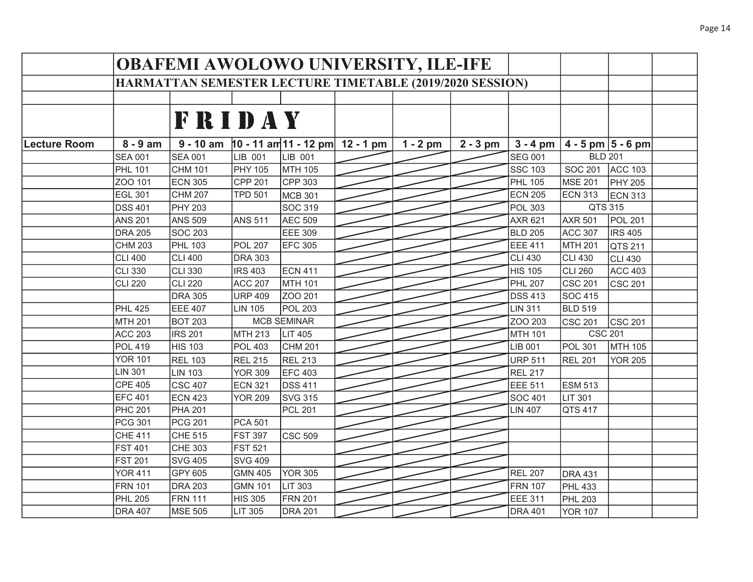|              |                                                                 | <b>OBAFEMI AWOLOWO UNIVERSITY, ILE-IFE</b> |                |                    |                                              |            |            |                |                        |                |  |
|--------------|-----------------------------------------------------------------|--------------------------------------------|----------------|--------------------|----------------------------------------------|------------|------------|----------------|------------------------|----------------|--|
|              | <b>HARMATTAN SEMESTER LECTURE TIMETABLE (2019/2020 SESSION)</b> |                                            |                |                    |                                              |            |            |                |                        |                |  |
|              |                                                                 |                                            |                |                    |                                              |            |            |                |                        |                |  |
|              |                                                                 | <b>FRIDAY</b>                              |                |                    |                                              |            |            |                |                        |                |  |
|              |                                                                 |                                            |                |                    |                                              |            |            |                |                        |                |  |
| Lecture Room | $8 - 9$ am                                                      |                                            |                |                    | 9 - 10 am $ 10 - 11$ am 11 - 12 pm 12 - 1 pm | $1 - 2$ pm | $2 - 3$ pm | $3 - 4$ pm     | $4 - 5$ pm $ 5 - 6$ pm |                |  |
|              | <b>SEA 001</b>                                                  | <b>SEA 001</b>                             | LIB 001        | LIB 001            |                                              |            |            | <b>SEG 001</b> | <b>BLD 201</b>         |                |  |
|              | <b>PHL 101</b>                                                  | <b>CHM 101</b>                             | PHY 105        | MTH 105            |                                              |            |            | <b>SSC 103</b> | <b>SOC 201</b>         | <b>ACC 103</b> |  |
|              | ZOO 101                                                         | <b>ECN 305</b>                             | CPP 201        | CPP 303            |                                              |            |            | <b>PHL 105</b> | <b>MSE 201</b>         | <b>PHY 205</b> |  |
|              | <b>EGL 301</b>                                                  | <b>CHM 207</b>                             | <b>TPD 501</b> | <b>MCB 301</b>     |                                              |            |            | <b>ECN 205</b> | <b>ECN 313</b>         | <b>ECN 313</b> |  |
|              | <b>DSS 401</b>                                                  | <b>PHY 203</b>                             |                | <b>SOC 319</b>     |                                              |            |            | <b>POL 303</b> | QTS 315                |                |  |
|              | <b>ANS 201</b>                                                  | <b>ANS 509</b>                             | <b>ANS 511</b> | <b>AEC 509</b>     |                                              |            |            | <b>AXR 621</b> | <b>AXR 501</b>         | <b>POL 201</b> |  |
|              | <b>DRA 205</b>                                                  | <b>SOC 203</b>                             |                | <b>EEE 309</b>     |                                              |            |            | <b>BLD 205</b> | <b>ACC 307</b>         | <b>IRS 405</b> |  |
|              | <b>CHM 203</b>                                                  | <b>PHL 103</b>                             | <b>POL 207</b> | <b>EFC 305</b>     |                                              |            |            | EEE 411        | MTH 201                | QTS 211        |  |
|              | <b>CLI 400</b>                                                  | <b>CLI 400</b>                             | <b>DRA 303</b> |                    |                                              |            |            | <b>CLI 430</b> | CLI 430                | <b>CLI 430</b> |  |
|              | <b>CLI 330</b>                                                  | CLI 330                                    | <b>IRS 403</b> | <b>ECN 411</b>     |                                              |            |            | <b>HIS 105</b> | CLI 260                | <b>ACC 403</b> |  |
|              | <b>CLI 220</b>                                                  | <b>CLI 220</b>                             | <b>ACC 207</b> | <b>MTH 101</b>     |                                              |            |            | <b>PHL 207</b> | <b>CSC 201</b>         | CSC 201        |  |
|              |                                                                 | <b>DRA 305</b>                             | <b>URP 409</b> | ZOO 201            |                                              |            |            | <b>DSS 413</b> | SOC 415                |                |  |
|              | <b>PHL 425</b>                                                  | <b>EEE 407</b>                             | LIN 105        | <b>POL 203</b>     |                                              |            |            | <b>LIN 311</b> | <b>BLD 519</b>         |                |  |
|              | <b>MTH 201</b>                                                  | <b>BOT 203</b>                             |                | <b>MCB SEMINAR</b> |                                              |            |            | ZOO 203        | <b>CSC 201</b>         | CSC 201        |  |
|              | <b>ACC 203</b>                                                  | <b>IRS 201</b>                             | MTH 213        | LIT 405            |                                              |            |            | MTH 101        | <b>CSC 201</b>         |                |  |
|              | <b>POL 419</b>                                                  | <b>HIS 103</b>                             | <b>POL 403</b> | <b>CHM 201</b>     |                                              |            |            | <b>LIB 001</b> | <b>POL 301</b>         | MTH 105        |  |
|              | <b>YOR 101</b>                                                  | <b>REL 103</b>                             | <b>REL 215</b> | <b>REL 213</b>     |                                              |            |            | <b>URP 511</b> | <b>REL 201</b>         | <b>YOR 205</b> |  |
|              | <b>LIN 301</b>                                                  | <b>LIN 103</b>                             | <b>YOR 309</b> | EFC 403            |                                              |            |            | <b>REL 217</b> |                        |                |  |
|              | <b>CPE 405</b>                                                  | <b>CSC 407</b>                             | ECN 321        | <b>DSS 411</b>     |                                              |            |            | EEE 511        | <b>ESM 513</b>         |                |  |
|              | <b>EFC 401</b>                                                  | <b>ECN 423</b>                             | <b>YOR 209</b> | <b>SVG 315</b>     |                                              |            |            | <b>SOC 401</b> | LIT 301                |                |  |
|              | <b>PHC 201</b>                                                  | <b>PHA 201</b>                             |                | <b>PCL 201</b>     |                                              |            |            | <b>LIN 407</b> | QTS 417                |                |  |
|              | <b>PCG 301</b>                                                  | <b>PCG 201</b>                             | <b>PCA 501</b> |                    |                                              |            |            |                |                        |                |  |
|              | <b>CHE 411</b>                                                  | <b>CHE 515</b>                             | <b>FST 397</b> | <b>CSC 509</b>     |                                              |            |            |                |                        |                |  |
|              | <b>FST 401</b>                                                  | <b>CHE 303</b>                             | <b>FST 521</b> |                    |                                              |            |            |                |                        |                |  |
|              | <b>FST 201</b>                                                  | <b>SVG 405</b>                             | <b>SVG 409</b> |                    |                                              |            |            |                |                        |                |  |
|              | <b>YOR 411</b>                                                  | GPY 605                                    | <b>GMN 405</b> | <b>YOR 305</b>     |                                              |            |            | <b>REL 207</b> | <b>DRA 431</b>         |                |  |
|              | <b>FRN 101</b>                                                  | <b>DRA 203</b>                             | <b>GMN 101</b> | <b>LIT 303</b>     |                                              |            |            | <b>FRN 107</b> | <b>PHL 433</b>         |                |  |
|              | <b>PHL 205</b>                                                  | <b>FRN 111</b>                             | <b>HIS 305</b> | <b>FRN 201</b>     |                                              |            |            | <b>EEE 311</b> | <b>PHL 203</b>         |                |  |
|              | <b>DRA 407</b>                                                  | MSE 505                                    | LIT 305        | <b>DRA 201</b>     |                                              |            |            | <b>DRA 401</b> | <b>YOR 107</b>         |                |  |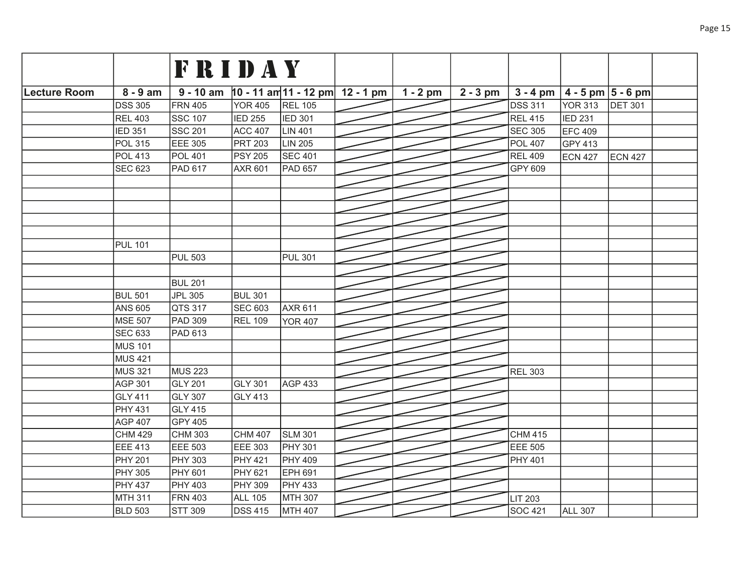|              |                | <b>FRIDAY</b>  |                |                                               |            |            |                |                                    |                |  |
|--------------|----------------|----------------|----------------|-----------------------------------------------|------------|------------|----------------|------------------------------------|----------------|--|
|              |                |                |                |                                               |            |            |                |                                    |                |  |
| Lecture Room | $8 - 9$ am     |                |                | $9 - 10$ am $10 - 11$ am 11 - 12 pm 12 - 1 pm | $1 - 2$ pm | $2 - 3$ pm |                | $3 - 4$ pm $ 4 - 5$ pm $ 5 - 6$ pm |                |  |
|              | <b>DSS 305</b> | <b>FRN 405</b> | YOR 405        | <b>REL 105</b>                                |            |            | <b>DSS 311</b> | <b>YOR 313</b>                     | <b>DET 301</b> |  |
|              | <b>REL 403</b> | <b>SSC 107</b> | <b>IED 255</b> | <b>IED 301</b>                                |            |            | <b>REL 415</b> | <b>IED 231</b>                     |                |  |
|              | <b>IED 351</b> | <b>SSC 201</b> | <b>ACC 407</b> | <b>LIN 401</b>                                |            |            | <b>SEC 305</b> | EFC 409                            |                |  |
|              | <b>POL 315</b> | EEE 305        | <b>PRT 203</b> | LIN 205                                       |            |            | <b>POL 407</b> | GPY 413                            |                |  |
|              | <b>POL 413</b> | <b>POL 401</b> | <b>PSY 205</b> | <b>SEC 401</b>                                |            |            | <b>REL 409</b> | <b>ECN 427</b>                     | <b>ECN 427</b> |  |
|              | <b>SEC 623</b> | PAD 617        | <b>AXR 601</b> | <b>PAD 657</b>                                |            |            | GPY 609        |                                    |                |  |
|              |                |                |                |                                               |            |            |                |                                    |                |  |
|              |                |                |                |                                               |            |            |                |                                    |                |  |
|              |                |                |                |                                               |            |            |                |                                    |                |  |
|              |                |                |                |                                               |            |            |                |                                    |                |  |
|              |                |                |                |                                               |            |            |                |                                    |                |  |
|              | <b>PUL 101</b> |                |                |                                               |            |            |                |                                    |                |  |
|              |                | <b>PUL 503</b> |                | <b>PUL 301</b>                                |            |            |                |                                    |                |  |
|              |                |                |                |                                               |            |            |                |                                    |                |  |
|              |                | <b>BUL 201</b> |                |                                               |            |            |                |                                    |                |  |
|              | <b>BUL 501</b> | <b>JPL 305</b> | <b>BUL 301</b> |                                               |            |            |                |                                    |                |  |
|              | <b>ANS 605</b> | QTS 317        | SEC 603        | <b>AXR 611</b>                                |            |            |                |                                    |                |  |
|              | <b>MSE 507</b> | PAD 309        | <b>REL 109</b> | <b>YOR 407</b>                                |            |            |                |                                    |                |  |
|              | <b>SEC 633</b> | PAD 613        |                |                                               |            |            |                |                                    |                |  |
|              | <b>MUS 101</b> |                |                |                                               |            |            |                |                                    |                |  |
|              | <b>MUS 421</b> |                |                |                                               |            |            |                |                                    |                |  |
|              | <b>MUS 321</b> | MUS 223        |                |                                               |            |            | <b>REL 303</b> |                                    |                |  |
|              | <b>AGP 301</b> | GLY 201        | GLY 301        | <b>AGP 433</b>                                |            |            |                |                                    |                |  |
|              | <b>GLY 411</b> | <b>GLY 307</b> | <b>GLY 413</b> |                                               |            |            |                |                                    |                |  |
|              | <b>PHY 431</b> | GLY 415        |                |                                               |            |            |                |                                    |                |  |
|              | <b>AGP 407</b> | GPY 405        |                |                                               |            |            |                |                                    |                |  |
|              | <b>CHM 429</b> | CHM 303        | <b>CHM 407</b> | <b>SLM 301</b>                                |            |            | <b>CHM 415</b> |                                    |                |  |
|              | <b>EEE 413</b> | <b>EEE 503</b> | EEE 303        | <b>PHY 301</b>                                |            |            | <b>EEE 505</b> |                                    |                |  |
|              | <b>PHY 201</b> | PHY 303        | PHY 421        | <b>PHY 409</b>                                |            |            | <b>PHY 401</b> |                                    |                |  |
|              | <b>PHY 305</b> | <b>PHY 601</b> | PHY 621        | EPH 691                                       |            |            |                |                                    |                |  |
|              | <b>PHY 437</b> | <b>PHY 403</b> | PHY 309        | <b>PHY 433</b>                                |            |            |                |                                    |                |  |
|              | <b>MTH 311</b> | <b>FRN 403</b> | <b>ALL 105</b> | <b>MTH 307</b>                                |            |            | <b>LIT 203</b> |                                    |                |  |
|              | <b>BLD 503</b> | <b>STT 309</b> | <b>DSS 415</b> | MTH 407                                       |            |            | <b>SOC 421</b> | ALL 307                            |                |  |